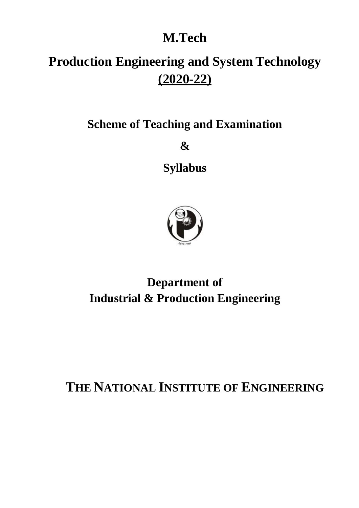# **M.Tech**

# **Production Engineering and System Technology (2020-22)**

**Scheme of Teaching and Examination** 

**&**

**Syllabus**

![](_page_0_Picture_5.jpeg)

**Department of Industrial & Production Engineering**

**THE NATIONAL INSTITUTE OF ENGINEERING**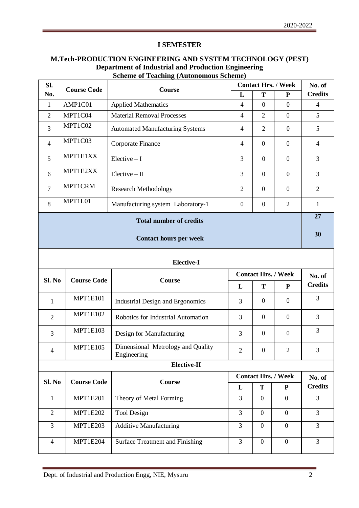#### **I SEMESTER**

### **M.Tech-PRODUCTION ENGINEERING AND SYSTEM TECHNOLOGY (PEST) Department of Industrial and Production Engineering Scheme of Teaching (Autonomous Scheme)**

| Sl.               | <b>Course Code</b>         |                                                  | <b>Contact Hrs. / Week</b><br>Course |                  | No. of                     |                |
|-------------------|----------------------------|--------------------------------------------------|--------------------------------------|------------------|----------------------------|----------------|
| No.               |                            |                                                  | L                                    | T                | P                          | <b>Credits</b> |
| $\mathbf{1}$      | AMP1C01                    | <b>Applied Mathematics</b>                       | $\overline{4}$                       | $\mathbf{0}$     | $\overline{0}$             | $\overline{4}$ |
| $\overline{2}$    | MPT1C04                    | <b>Material Removal Processes</b>                | $\overline{4}$                       | $\overline{2}$   | $\overline{0}$             | 5              |
| 3                 | MPT1C02                    | <b>Automated Manufacturing Systems</b>           | 4                                    | $\overline{2}$   | $\overline{0}$             | 5              |
| 4                 | MPT1C03                    | Corporate Finance                                | $\overline{4}$                       | $\overline{0}$   | $\overline{0}$             | $\overline{4}$ |
| 5                 | MPT1E1XX                   | $Electric - I$                                   | 3                                    | $\overline{0}$   | $\overline{0}$             | 3              |
| 6                 | MPT1E2XX                   | $Electric - II$                                  | 3                                    | $\boldsymbol{0}$ | $\overline{0}$             | 3              |
| $\overline{7}$    | MPT1CRM                    | <b>Research Methodology</b>                      | $\mathfrak{2}$                       | $\boldsymbol{0}$ | $\overline{0}$             | $\overline{2}$ |
| 8                 | MPT1L01                    | Manufacturing system Laboratory-1                | $\boldsymbol{0}$                     | $\boldsymbol{0}$ | $\overline{2}$             | 1              |
|                   |                            | <b>Total number of credits</b>                   |                                      |                  |                            | 27             |
|                   |                            | <b>Contact hours per week</b>                    |                                      |                  |                            | 30             |
| <b>Elective-I</b> |                            |                                                  |                                      |                  |                            |                |
|                   | <b>Contact Hrs. / Week</b> |                                                  |                                      |                  |                            |                |
|                   |                            |                                                  |                                      |                  |                            | No. of         |
| Sl. No            | <b>Course Code</b>         | Course                                           | L                                    | T                | ${\bf P}$                  | <b>Credits</b> |
| 1                 | <b>MPT1E101</b>            | <b>Industrial Design and Ergonomics</b>          | 3                                    | $\boldsymbol{0}$ | $\overline{0}$             | 3              |
| $\overline{2}$    | <b>MPT1E102</b>            | Robotics for Industrial Automation               | 3                                    | $\boldsymbol{0}$ | $\mathbf{0}$               | 3              |
| 3                 | <b>MPT1E103</b>            | Design for Manufacturing                         | 3                                    | $\boldsymbol{0}$ | $\overline{0}$             | 3              |
| $\overline{4}$    | <b>MPT1E105</b>            | Dimensional Metrology and Quality<br>Engineering | $\overline{2}$                       | $\overline{0}$   | $\overline{2}$             | 3              |
|                   |                            | <b>Elective-II</b>                               |                                      |                  |                            |                |
|                   |                            |                                                  |                                      |                  | <b>Contact Hrs. / Week</b> | No. of         |
| Sl. No            | <b>Course Code</b>         | <b>Course</b>                                    | L                                    | T                | $\mathbf{P}$               | <b>Credits</b> |
| $\mathbf{1}$      | <b>MPT1E201</b>            | Theory of Metal Forming                          | 3                                    | $\mathbf{0}$     | $\overline{0}$             | 3              |
| $\overline{2}$    | <b>MPT1E202</b>            | Tool Design                                      | $\overline{3}$                       | $\mathbf{0}$     | $\overline{0}$             | $\overline{3}$ |
| 3                 | <b>MPT1E203</b>            | <b>Additive Manufacturing</b>                    | $\overline{3}$                       | $\mathbf{0}$     | $\boldsymbol{0}$           | $\overline{3}$ |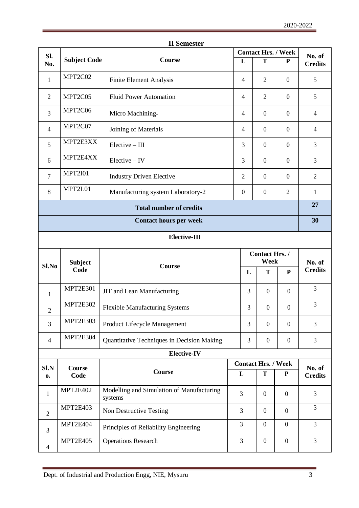| Sl.            |                        |                                                      | <b>Contact Hrs. / Week</b> |                            |                  | No. of         |
|----------------|------------------------|------------------------------------------------------|----------------------------|----------------------------|------------------|----------------|
| No.            | <b>Subject Code</b>    | Course                                               | L                          | T                          | P                | <b>Credits</b> |
| $\mathbf{1}$   | MPT2C02                | Finite Element Analysis                              | $\overline{4}$             | 2                          | $\overline{0}$   | 5              |
| 2              | MPT2C05                | <b>Fluid Power Automation</b>                        | $\overline{4}$             | $\overline{2}$             | $\overline{0}$   | 5              |
| 3              | MPT2C06                | Micro Machining                                      | $\overline{4}$             | $\boldsymbol{0}$           | $\boldsymbol{0}$ | $\overline{4}$ |
| $\overline{4}$ | MPT2C07                | Joining of Materials                                 | 4                          | $\boldsymbol{0}$           | $\boldsymbol{0}$ | $\overline{4}$ |
| 5              | MPT2E3XX               | $Elective - III$                                     | 3                          | $\boldsymbol{0}$           | $\overline{0}$   | 3              |
| 6              | MPT2E4XX               | $Electric - IV$                                      | 3                          | $\mathbf{0}$               | $\overline{0}$   | 3              |
| $\overline{7}$ | <b>MPT2I01</b>         | <b>Industry Driven Elective</b>                      | $\overline{2}$             | $\boldsymbol{0}$           | $\boldsymbol{0}$ | $\overline{2}$ |
| 8              | MPT2L01                | Manufacturing system Laboratory-2                    | $\boldsymbol{0}$           | $\boldsymbol{0}$           | $\overline{2}$   | $\mathbf{1}$   |
|                |                        | <b>Total number of credits</b>                       |                            |                            |                  | 27             |
|                |                        | <b>Contact hours per week</b>                        |                            |                            |                  | 30             |
|                |                        | <b>Elective-III</b>                                  |                            |                            |                  |                |
| Contact Hrs./  |                        |                                                      |                            |                            |                  |                |
|                |                        |                                                      |                            | Week                       |                  | No. of         |
| Sl.No          | <b>Subject</b><br>Code | Course                                               | L                          | T                          | ${\bf P}$        | <b>Credits</b> |
| $\mathbf{1}$   | MPT2E301               | JIT and Lean Manufacturing                           | 3                          | $\overline{0}$             | $\overline{0}$   | 3              |
| $\overline{2}$ | MPT2E302               | <b>Flexible Manufacturing Systems</b>                | 3                          | $\boldsymbol{0}$           | $\overline{0}$   | 3              |
| 3              | MPT2E303               | Product Lifecycle Management                         | 3                          | $\boldsymbol{0}$           | $\boldsymbol{0}$ | 3              |
| $\overline{4}$ | MPT2E304               | Quantitative Techniques in Decision Making           | 3                          | $\boldsymbol{0}$           | $\overline{0}$   | 3              |
|                |                        | <b>Elective-IV</b>                                   |                            |                            |                  |                |
| SLN            | Course                 |                                                      |                            | <b>Contact Hrs. / Week</b> |                  | No. of         |
| 0.             | Code                   | <b>Course</b>                                        | L                          | T                          | ${\bf P}$        | <b>Credits</b> |
| $\mathbf{1}$   | MPT2E402               | Modelling and Simulation of Manufacturing<br>systems | 3                          | $\boldsymbol{0}$           | $\boldsymbol{0}$ | 3              |
| $\mathfrak{2}$ | MPT2E403               | Non Destructive Testing                              | 3                          | $\overline{0}$             | $\overline{0}$   | 3              |
| 3              | MPT2E404               | Principles of Reliability Engineering                | 3                          | $\boldsymbol{0}$           | $\boldsymbol{0}$ | $\mathfrak{Z}$ |

|  | <b>II</b> Semester |
|--|--------------------|
|--|--------------------|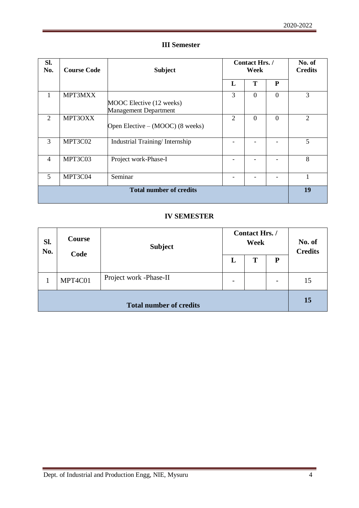#### **III Semester**

| Sl.<br>No.                     | <b>Course Code</b> | <b>Subject</b>                                           | Contact Hrs./<br>Week |                | No. of<br><b>Credits</b> |                |
|--------------------------------|--------------------|----------------------------------------------------------|-----------------------|----------------|--------------------------|----------------|
|                                |                    |                                                          | L                     | T              | P                        |                |
| 1                              | MPT3MXX            | MOOC Elective (12 weeks)<br><b>Management Department</b> | 3                     | $\Omega$       | $\Omega$                 | 3              |
| $\overline{2}$                 | MPT3OXX            | Open Elective – (MOOC) (8 weeks)                         | $\overline{2}$        | $\overline{0}$ | $\Omega$                 | $\overline{2}$ |
| 3                              | MPT3C02            | Industrial Training/Internship                           |                       |                |                          | 5              |
| $\overline{4}$                 | MPT3C03            | Project work-Phase-I                                     |                       |                |                          | 8              |
| 5                              | MPT3C04            | Seminar                                                  |                       |                |                          |                |
| <b>Total number of credits</b> |                    |                                                          |                       |                | 19                       |                |

#### **IV SEMESTER**

| SI.<br>No.                     | Course<br>Code | <b>Subject</b>         | Contact Hrs. /<br>Week   |   |    | No. of<br><b>Credits</b> |
|--------------------------------|----------------|------------------------|--------------------------|---|----|--------------------------|
|                                |                |                        | L                        | т | P  |                          |
|                                | MPT4C01        | Project work -Phase-II | $\overline{\phantom{a}}$ |   |    | 15                       |
| <b>Total number of credits</b> |                |                        |                          |   | 15 |                          |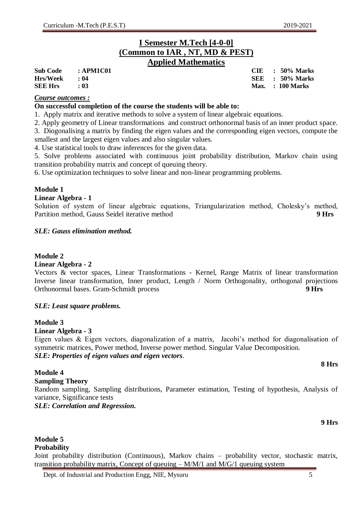**Sub Code : APM1C01 CIE : 50% Marks Hrs/Week : 04 SEE : 50% Marks Max. : 100 Marks** 

### **I Semester M.Tech [4-0-0] (Common to IAR , NT, MD & PEST) Applied Mathematics**

| <b>Sub Code</b> | : APM1C01 |
|-----------------|-----------|
| <b>Hrs/Week</b> | : 04      |
| <b>SEE Hrs</b>  | : 03      |

#### *Course outcomes :*

#### **On successful completion of the course the students will be able to:**

1. Apply matrix and iterative methods to solve a system of linear algebraic equations.

2. Apply geometry of Linear transformations and construct orthonormal basis of an inner product space.

3. Diogonalising a matrix by finding the eigen values and the corresponding eigen vectors, compute the smallest and the largest eigen values and also singular values.

4. Use statistical tools to draw inferences for the given data.

5. Solve problems associated with continuous joint probability distribution, Markov chain using transition probability matrix and concept of queuing theory.

6. Use optimization techniques to solve linear and non-linear programming problems.

#### **Module 1**

#### **Linear Algebra - 1**

Solution of system of linear algebraic equations, Triangularization method, Cholesky's method, Partition method, Gauss Seidel iterative method **9 Hrs**

#### *SLE: Gauss elimination method.*

#### **Module 2**

#### **Linear Algebra - 2**

Vectors & vector spaces, Linear Transformations - Kernel, Range Matrix of linear transformation Inverse linear transformation, Inner product, Length / Norm Orthogonality, orthogonal projections Orthonormal bases. Gram-Schmidt process **9 Hrs**

#### *SLE: Least square problems.*

#### **Module 3**

#### **Linear Algebra - 3**

Eigen values & Eigen vectors, diagonalization of a matrix, Jacobi's method for diagonalisation of symmetric matrices, Power method, Inverse power method. Singular Value Decomposition. *SLE: Properties of eigen values and eigen vectors.*

#### **Module 4**

#### **Sampling Theory**

Random sampling, Sampling distributions, Parameter estimation, Testing of hypothesis, Analysis of variance, Significance tests

*SLE: Correlation and Regression.* 

#### **9 Hrs**

### **Module 5 Probability**

Joint probability distribution (Continuous), Markov chains – probability vector, stochastic matrix, transition probability matrix, Concept of queuing –  $M/M/1$  and  $M/G/1$  queuing system

**8 Hrs**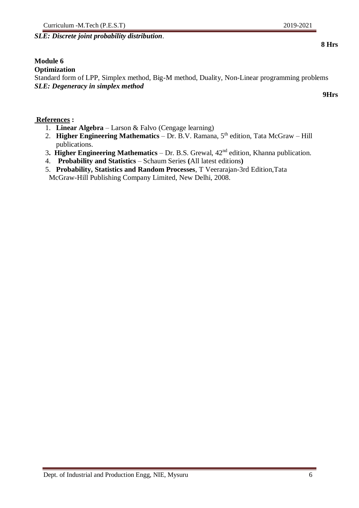### Curriculum -M.Tech (P.E.S.T) 2019-2021

*SLE: Discrete joint probability distribution*.

#### **Module 6**

#### **Optimization**

Standard form of LPP, Simplex method, Big-M method, Duality, Non-Linear programming problems *SLE: Degeneracy in simplex method*

#### **References :**

- 1. **Linear Algebra** Larson & Falvo (Cengage learning)
- 2. **Higher Engineering Mathematics** Dr. B.V. Ramana, 5<sup>th</sup> edition, Tata McGraw Hill publications.
- 3**. Higher Engineering Mathematics** Dr. B.S. Grewal, 42nd edition, Khanna publication.
- 4. **Probability and Statistics** Schaum Series **(**All latest editions**)**
- 5. **Probability, Statistics and Random Processes**, T Veerarajan-3rd Edition,Tata McGraw-Hill Publishing Company Limited, New Delhi, 2008.

**9Hrs**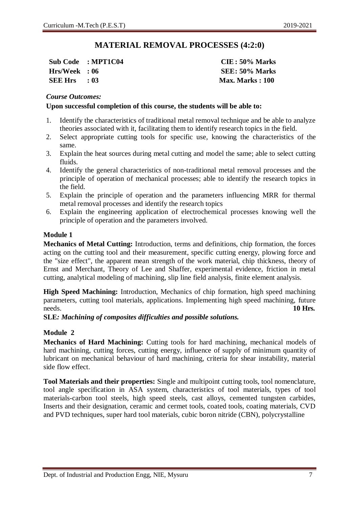### **MATERIAL REMOVAL PROCESSES (4:2:0)**

**Sub Code : MPT1C04 CIE : 50% Marks Hrs/Week : 06 SEE: 50% Marks SEE Hrs : 03 Max. Marks : 100**

#### *Course Outcomes:*

#### **Upon successful completion of this course, the students will be able to:**

- 1. Identify the characteristics of traditional metal removal technique and be able to analyze theories associated with it, facilitating them to identify research topics in the field.
- 2. Select appropriate cutting tools for specific use, knowing the characteristics of the same.
- 3. Explain the heat sources during metal cutting and model the same; able to select cutting fluids.
- 4. Identify the general characteristics of non-traditional metal removal processes and the principle of operation of mechanical processes; able to identify the research topics in the field.
- 5. Explain the principle of operation and the parameters influencing MRR for thermal metal removal processes and identify the research topics
- 6. Explain the engineering application of electrochemical processes knowing well the principle of operation and the parameters involved.

#### **Module 1**

**Mechanics of Metal Cutting:** Introduction, terms and definitions, chip formation, the forces acting on the cutting tool and their measurement, specific cutting energy, plowing force and the "size effect", the apparent mean strength of the work material, chip thickness, theory of Ernst and Merchant, Theory of Lee and Shaffer, experimental evidence, friction in metal cutting, analytical modeling of machining, slip line field analysis, finite element analysis.

**High Speed Machining:** Introduction, Mechanics of chip formation, high speed machining parameters, cutting tool materials, applications. Implementing high speed machining, future needs. **10 Hrs.**

**SLE***: Machining of composites difficulties and possible solutions.*

### **Module 2**

**Mechanics of Hard Machining:** Cutting tools for hard machining, mechanical models of hard machining, cutting forces, cutting energy, influence of supply of minimum quantity of lubricant on mechanical behaviour of hard machining, criteria for shear instability, material side flow effect.

**Tool Materials and their properties:** Single and multipoint cutting tools, tool nomenclature, tool angle specification in ASA system, characteristics of tool materials, types of tool materials-carbon tool steels, high speed steels, cast alloys, cemented tungsten carbides, Inserts and their designation, ceramic and cermet tools, coated tools, coating materials, CVD and PVD techniques, super hard tool materials, cubic boron nitride (CBN), polycrystalline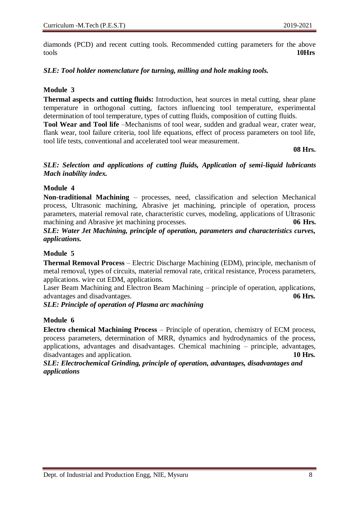diamonds (PCD) and recent cutting tools. Recommended cutting parameters for the above tools **10Hrs**

#### *SLE: Tool holder nomenclature for turning, milling and hole making tools.*

#### **Module 3**

**Thermal aspects and cutting fluids:** Introduction, heat sources in metal cutting, shear plane temperature in orthogonal cutting, factors influencing tool temperature, experimental determination of tool temperature, types of cutting fluids, composition of cutting fluids.

**Tool Wear and Tool life** –Mechanisms of tool wear, sudden and gradual wear, crater wear, flank wear, tool failure criteria, tool life equations, effect of process parameters on tool life, tool life tests, conventional and accelerated tool wear measurement.

**08 Hrs.**

#### *SLE: Selection and applications of cutting fluids, Application of semi-liquid lubricants Mach inability index.*

#### **Module 4**

**Non-traditional Machining** – processes, need, classification and selection Mechanical process, Ultrasonic machining, Abrasive jet machining, principle of operation, process parameters, material removal rate, characteristic curves, modeling, applications of Ultrasonic machining and Abrasive jet machining processes. 06 Hrs.

*SLE: Water Jet Machining, principle of operation, parameters and characteristics curves, applications.*

#### **Module 5**

**Thermal Removal Process** – Electric Discharge Machining (EDM), principle, mechanism of metal removal, types of circuits, material removal rate, critical resistance, Process parameters, applications. wire cut EDM, applications.

Laser Beam Machining and Electron Beam Machining – principle of operation, applications, advantages and disadvantages. **06 Hrs.**

#### *SLE: Principle of operation of Plasma arc machining*

#### **Module 6**

**Electro chemical Machining Process** – Principle of operation, chemistry of ECM process, process parameters, determination of MRR, dynamics and hydrodynamics of the process, applications, advantages and disadvantages. Chemical machining – principle, advantages, disadvantages and application. **10 Hrs.**

*SLE: Electrochemical Grinding, principle of operation, advantages, disadvantages and applications*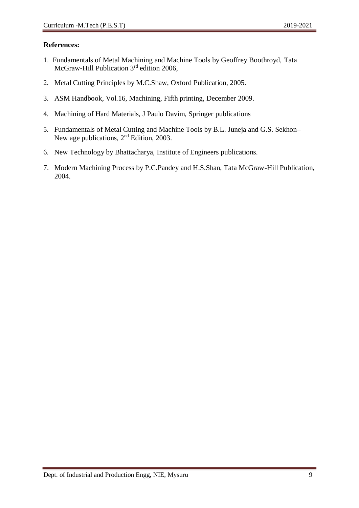- 1. Fundamentals of Metal Machining and Machine Tools by Geoffrey Boothroyd, Tata McGraw-Hill Publication 3<sup>rd</sup> edition 2006,
- 2. Metal Cutting Principles by M.C.Shaw, Oxford Publication, 2005.
- 3. ASM Handbook, Vol.16, Machining, Fifth printing, December 2009.
- 4. Machining of Hard Materials, J Paulo Davim, Springer publications
- 5. Fundamentals of Metal Cutting and Machine Tools by B.L. Juneja and G.S. Sekhon– New age publications, 2nd Edition, 2003.
- 6. New Technology by Bhattacharya, Institute of Engineers publications.
- 7. Modern Machining Process by P.C.Pandey and H.S.Shan, Tata McGraw-Hill Publication, 2004.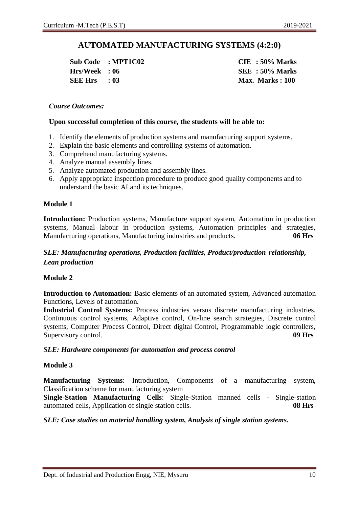### **AUTOMATED MANUFACTURING SYSTEMS (4:2:0)**

**Sub Code : MPT1C02 CIE : 50% Marks Hrs/Week : 06 SEE : 50% Marks SEE Hrs : 03 Max. Marks : 100**

#### *Course Outcomes:*

#### **Upon successful completion of this course, the students will be able to:**

- 1. Identify the elements of production systems and manufacturing support systems.
- 2. Explain the basic elements and controlling systems of automation.
- 3. Comprehend manufacturing systems.
- 4. Analyze manual assembly lines.
- 5. Analyze automated production and assembly lines.
- 6. Apply appropriate inspection procedure to produce good quality components and to understand the basic AI and its techniques.

#### **Module 1**

**Introduction:** Production systems, Manufacture support system, Automation in production systems, Manual labour in production systems, Automation principles and strategies, Manufacturing operations, Manufacturing industries and products. **06 Hrs**

#### *SLE: Manufacturing operations, Production facilities, Product/production relationship, Lean production*

#### **Module 2**

**Introduction to Automation:** Basic elements of an automated system, Advanced automation Functions, Levels of automation.

**Industrial Control Systems:** Process industries versus discrete manufacturing industries, Continuous control systems, Adaptive control, On-line search strategies, Discrete control systems, Computer Process Control, Direct digital Control, Programmable logic controllers, Supervisory control. **09 Hrs** 

#### *SLE: Hardware components for automation and process control*

#### **Module 3**

**Manufacturing Systems**: Introduction, Components of a manufacturing system, Classification scheme for manufacturing system

**Single-Station Manufacturing Cells**: Single-Station manned cells - Single-station automated cells, Application of single station cells. **08 Hrs**

#### *SLE: Case studies on material handling system, Analysis of single station systems.*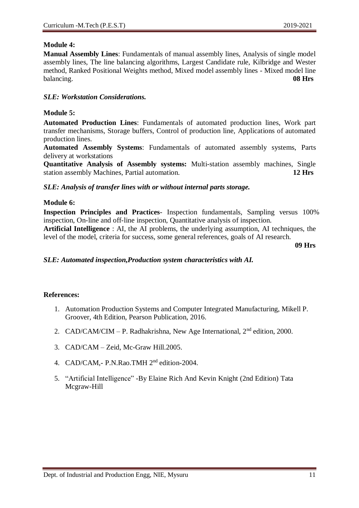#### **Module 4:**

**Manual Assembly Lines**: Fundamentals of manual assembly lines, Analysis of single model assembly lines, The line balancing algorithms, Largest Candidate rule, Kilbridge and Wester method, Ranked Positional Weights method, Mixed model assembly lines - Mixed model line balancing. **08 Hrs**

#### *SLE: Workstation Considerations.*

#### **Module 5:**

**Automated Production Lines**: Fundamentals of automated production lines, Work part transfer mechanisms, Storage buffers, Control of production line, Applications of automated production lines.

**Automated Assembly Systems**: Fundamentals of automated assembly systems, Parts delivery at workstations

**Quantitative Analysis of Assembly systems:** Multi-station assembly machines, Single station assembly Machines, Partial automation. **12 Hrs**

*SLE: Analysis of transfer lines with or without internal parts storage.*

#### **Module 6:**

**Inspection Principles and Practices**- Inspection fundamentals, Sampling versus 100% inspection, On-line and off-line inspection, Quantitative analysis of inspection.

**Artificial Intelligence** : AI, the AI problems, the underlying assumption, AI techniques, the level of the model, criteria for success, some general references, goals of AI research.

**09 Hrs**

#### *SLE: Automated inspection,Production system characteristics with AI.*

- 1. Automation Production Systems and Computer Integrated Manufacturing, Mikell P. Groover, 4th Edition, Pearson Publication, 2016.
- 2. CAD/CAM/CIM P. Radhakrishna, New Age International,  $2<sup>nd</sup>$  edition, 2000.
- 3. CAD/CAM Zeid, Mc-Graw Hill.2005.
- 4. CAD/CAM,- P.N.Rao.TMH 2nd edition-2004.
- 5. "Artificial Intelligence" -By Elaine Rich And Kevin Knight (2nd Edition) Tata Mcgraw-Hill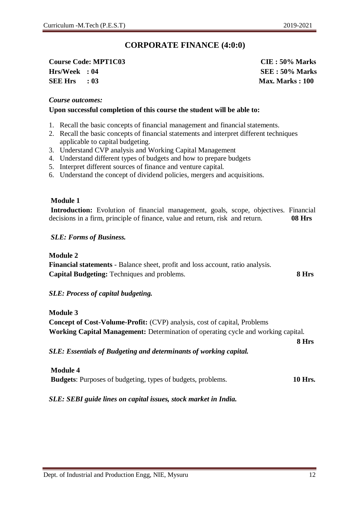### **CORPORATE FINANCE (4:0:0)**

### **Course Code: MPT1C03 CIE : 50% Marks Hrs/Week : 04 SEE : 50% Marks SEE Hrs : 03 Max. Marks : 100**

#### *Course outcomes:*

#### **Upon successful completion of this course the student will be able to:**

- 1. Recall the basic concepts of financial management and financial statements.
- 2. Recall the basic concepts of financial statements and interpret different techniques applicable to capital budgeting.
- 3. Understand CVP analysis and Working Capital Management
- 4. Understand different types of budgets and how to prepare budgets
- 5. Interpret different sources of finance and venture capital.
- 6. Understand the concept of dividend policies, mergers and acquisitions.

#### **Module 1**

**Introduction:** Evolution of financial management, goals, scope, objectives. Financial decisions in a firm, principle of finance, value and return, risk and return. **08 Hrs**

#### *SLE: Forms of Business.*

#### **Module 2**

**Financial statements** - Balance sheet, profit and loss account, ratio analysis. **Capital Budgeting:** Techniques and problems. **8 Hrs**

#### *SLE: Process of capital budgeting.*

**Module 3 Concept of Cost-Volume-Profit:** (CVP) analysis, cost of capital, Problems **Working Capital Management:** Determination of operating cycle and working capital.

*SLE: Essentials of Budgeting and determinants of working capital.*

| <b>Module 4</b>                                                    |                |
|--------------------------------------------------------------------|----------------|
| <b>Budgets:</b> Purposes of budgeting, types of budgets, problems. | <b>10 Hrs.</b> |

*SLE: SEBI guide lines on capital issues, stock market in India.*

**8 Hrs**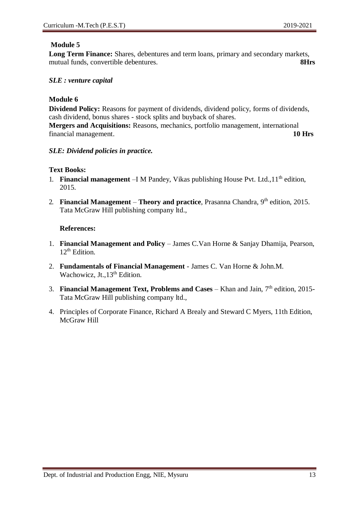**Long Term Finance:** Shares, debentures and term loans, primary and secondary markets, mutual funds, convertible debentures. **8Hrs**

#### *SLE : venture capital*

#### **Module 6**

**Dividend Policy:** Reasons for payment of dividends, dividend policy, forms of dividends, cash dividend, bonus shares - stock splits and buyback of shares. **Mergers and Acquisitions:** Reasons, mechanics, portfolio management, international

financial management. **10 Hrs**

#### *SLE: Dividend policies in practice.*

#### **Text Books:**

- 1. **Financial management** –I M Pandey, Vikas publishing House Pvt. Ltd., 11<sup>th</sup> edition, 2015.
- 2. **Financial Management Theory and practice**, Prasanna Chandra, 9th edition, 2015. Tata McGraw Hill publishing company ltd.,

- 1. **Financial Management and Policy**  James C.Van Horne & Sanjay Dhamija, Pearson,  $12^{th}$  Edition.
- 2. **Fundamentals of Financial Management**  James C. Van Horne & John.M. Wachowicz, Jt.,  $13<sup>th</sup>$  Edition.
- 3. **Financial Management Text, Problems and Cases**  Khan and Jain, 7th edition, 2015- Tata McGraw Hill publishing company ltd.,
- 4. Principles of Corporate Finance, Richard A Brealy and Steward C Myers, 11th Edition, McGraw Hill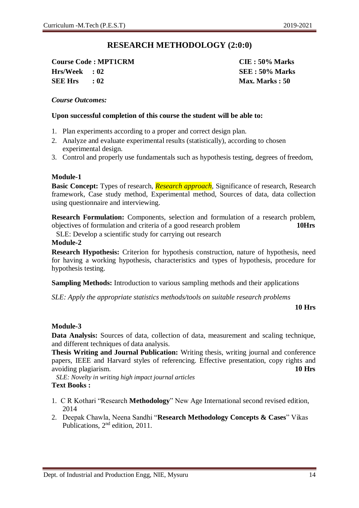### **RESEARCH METHODOLOGY (2:0:0)**

**Course Code : MPT1CRM CIE : 50% Marks Hrs/Week : 02 SEE : 50% Marks SEE Hrs : 02 Max. Marks : 50**

#### *Course Outcomes:*

#### **Upon successful completion of this course the student will be able to:**

- 1. Plan experiments according to a proper and correct design plan.
- 2. Analyze and evaluate experimental results (statistically), according to chosen experimental design.
- 3. Control and properly use fundamentals such as hypothesis testing, degrees of freedom,

#### **Module-1**

**Basic Concept:** Types of research, *Research approach,* Significance of research, Research framework, Case study method, Experimental method, Sources of data, data collection using questionnaire and interviewing.

**Research Formulation:** Components, selection and formulation of a research problem, objectives of formulation and criteria of a good research problem **10Hrs**

SLE: Develop a scientific study for carrying out research

#### **Module-2**

**Research Hypothesis:** Criterion for hypothesis construction, nature of hypothesis, need for having a working hypothesis, characteristics and types of hypothesis, procedure for hypothesis testing.

**Sampling Methods:** Introduction to various sampling methods and their applications

*SLE: Apply the appropriate statistics methods/tools on suitable research problems*

**10 Hrs**

#### **Module-3**

**Data Analysis:** Sources of data, collection of data, measurement and scaling technique, and different techniques of data analysis.

**Thesis Writing and Journal Publication:** Writing thesis, writing journal and conference papers, IEEE and Harvard styles of referencing. Effective presentation, copy rights and avoiding plagiarism. **10 Hrs**

*SLE: Novelty in writing high impact journal articles*  **Text Books :**

- 1. C R Kothari "Research **Methodology**" New Age International second revised edition, 2014
- 2. Deepak Chawla, Neena Sandhi "**Research Methodology Concepts & Cases**" Vikas Publications, 2nd edition, 2011.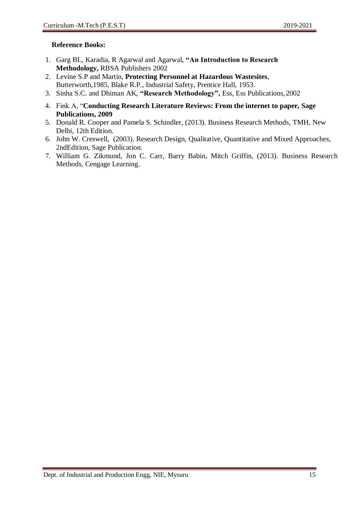#### **Reference Books:**

- 1. Garg BL, Karadia, R Agarwal and Agarwal, **"An Introduction to Research Methodology,** RBSA Publishers 2002
- 2. Levine S.P and Martin, **Protecting Personnel at Hazardous Wastesites**, Butterworth,1985, Blake R.P., Industrial Safety, Prentice Hall, 1953.
- 3. Sinha S.C. and Dhiman AK, **"Research Methodology",** Ess, Ess Publications,2002
- 4. Fink A, "**Conducting Research Literature Reviews: From the internet to paper, Sage Publications, 2009**
- 5. Donald R. Cooper and Pamela S. Schindler, (2013). Business Research Methods, TMH, New Delhi, 12th Edition.
- 6. John W. Creswell, (2003). Research Design, Qualitative, Quantitative and Mixed Approaches, 2ndEdition, Sage Publication.
- 7. William G. Zikmund, Jon C. Carr, Barry Babin, Mitch Griffin, (2013). Business Research Methods, Cengage Learning.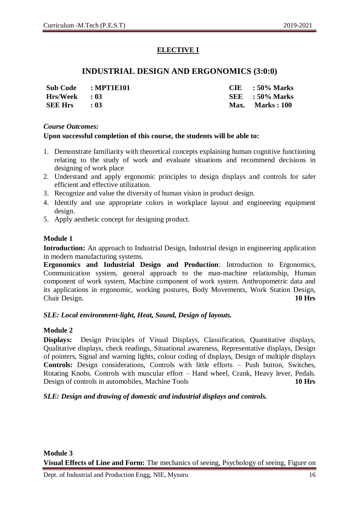### **ELECTIVE I**

### **INDUSTRIAL DESIGN AND ERGONOMICS (3:0:0)**

**Sub Code : MPT1E101 CIE : 50% Marks Hrs/Week : 03 SEE : 50% Marks SEE Hrs : 03 Max. Marks : 100**

#### *Course Outcomes:*

#### **Upon successful completion of this course, the students will be able to:**

- 1. Demonstrate familiarity with theoretical concepts explaining human cognitive functioning relating to the study of work and evaluate situations and recommend decisions in designing of work place
- 2. Understand and apply ergonomic principles to design displays and controls for safer efficient and effective utilization.
- 3. Recognize and value the diversity of human vision in product design.
- 4. Identify and use appropriate colors in workplace layout and engineering equipment design.
- 5. Apply aesthetic concept for designing product.

#### **Module 1**

**Introduction:** An approach to Industrial Design, Industrial design in engineering application in modern manufacturing systems.

**Ergonomics and Industrial Design and Production**: Introduction to Ergonomics, Communication system, general approach to the man-machine relationship, Human component of work system, Machine component of work system. Anthropometric data and its applications in ergonomic, working postures, Body Movements, Work Station Design, Chair Design. **10 Hrs**

#### *SLE: Local environment-light, Heat, Sound, Design of layouts.*

#### **Module 2**

**Displays:** Design Principles of Visual Displays, Classification, Quantitative displays, Qualitative displays, check readings, Situational awareness, Representative displays, Design of pointers, Signal and warning lights, colour coding of displays, Design of multiple displays **Controls:** Design considerations, Controls with little efforts – Push button, Switches, Rotating Knobs. Controls with muscular effort – Hand wheel, Crank, Heavy lever, Pedals. Design of controls in automobiles, Machine Tools **10 Hrs**

#### *SLE: Design and drawing of domestic and industrial displays and controls.*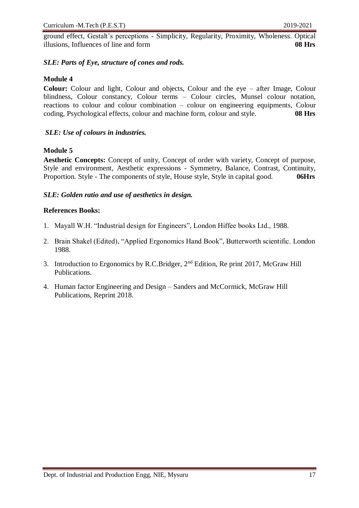ground effect, Gestalt's perceptions - Simplicity, Regularity, Proximity, Wholeness. Optical illusions, Influences of line and form **08 Hrs**

#### *SLE: Parts of Eye, structure of cones and rods.*

#### **Module 4**

**Colour:** Colour and light, Colour and objects, Colour and the eye – after Image, Colour blindness, Colour constancy, Colour terms – Colour circles, Munsel colour notation, reactions to colour and colour combination – colour on engineering equipments, Colour coding, Psychological effects, colour and machine form, colour and style. **08 Hrs**

#### *SLE: Use of colours in industries.*

#### **Module 5**

**Aesthetic Concepts:** Concept of unity, Concept of order with variety, Concept of purpose, Style and environment, Aesthetic expressions - Symmetry, Balance, Contrast, Continuity, Proportion. Style - The components of style, House style, Style in capital good. **06Hrs**

#### *SLE: Golden ratio and use of aesthetics in design.*

#### **References Books:**

- 1. Mayall W.H. "Industrial design for Engineers", London Hiffee books Ltd., 1988.
- 2. Brain Shakel (Edited), "Applied Ergonomics Hand Book", Butterworth scientific. London 1988.
- 3. Introduction to Ergonomics by R.C.Bridger, 2nd Edition, Re print 2017, McGraw Hill Publications.
- 4. Human factor Engineering and Design Sanders and McCormick, McGraw Hill Publications, Reprint 2018.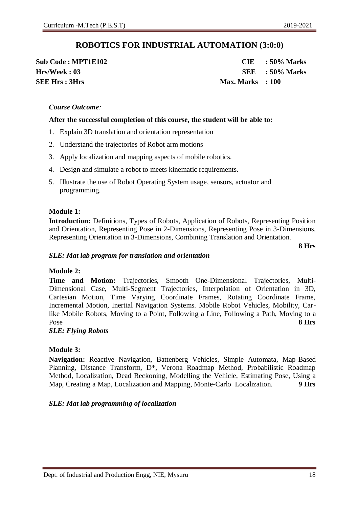### **ROBOTICS FOR INDUSTRIAL AUTOMATION (3:0:0)**

**SEE Hrs : 3Hrs** Max. Marks **: 100** 

**Sub Code : MPT1E102 CIE : 50% Marks Hrs/Week : 03 SEE : 50% Marks**

#### *Course Outcome:*

#### **After the successful completion of this course, the student will be able to:**

- 1. Explain 3D translation and orientation representation
- 2. Understand the trajectories of Robot arm motions
- 3. Apply localization and mapping aspects of mobile robotics.
- 4. Design and simulate a robot to meets kinematic requirements.
- 5. Illustrate the use of Robot Operating System usage, sensors, actuator and programming.

#### **Module 1:**

**Introduction:** Definitions, Types of Robots, Application of Robots, Representing Position and Orientation, Representing Pose in 2-Dimensions, Representing Pose in 3-Dimensions, Representing Orientation in 3-Dimensions, Combining Translation and Orientation.

**8 Hrs**

#### *SLE: Mat lab program for translation and orientation*

#### **Module 2:**

**Time and Motion:** Trajectories, Smooth One-Dimensional Trajectories, Multi-Dimensional Case, Multi-Segment Trajectories, Interpolation of Orientation in 3D, Cartesian Motion, Time Varying Coordinate Frames, Rotating Coordinate Frame, Incremental Motion, Inertial Navigation Systems. Mobile Robot Vehicles, Mobility, Carlike Mobile Robots, Moving to a Point, Following a Line, Following a Path, Moving to a Pose **8 Hrs**

#### *SLE: Flying Robots*

#### **Module 3:**

**Navigation:** Reactive Navigation, Battenberg Vehicles, Simple Automata, Map-Based Planning, Distance Transform, D\*, Verona Roadmap Method, Probabilistic Roadmap Method, Localization, Dead Reckoning, Modelling the Vehicle, Estimating Pose, Using a Map, Creating a Map, Localization and Mapping, Monte-Carlo Localization. **9 Hrs** 

#### *SLE: Mat lab programming of localization*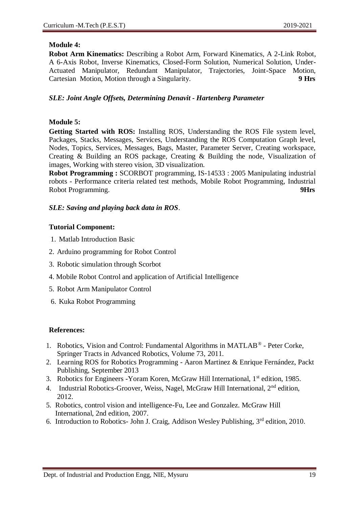#### **Module 4:**

**Robot Arm Kinematics:** Describing a Robot Arm, Forward Kinematics, A 2-Link Robot, A 6-Axis Robot, Inverse Kinematics, Closed-Form Solution, Numerical Solution, Under-Actuated Manipulator, Redundant Manipulator, Trajectories, Joint-Space Motion, Cartesian Motion, Motion through a Singularity. **9 Hrs** 

#### *SLE: Joint Angle Offsets, Determining Denavit - Hartenberg Parameter*

#### **Module 5:**

**Getting Started with ROS:** Installing ROS, Understanding the ROS File system level, Packages, Stacks, Messages, Services, Understanding the ROS Computation Graph level, Nodes, Topics, Services, Messages, Bags, Master, Parameter Server, Creating workspace, Creating & Building an ROS package, Creating & Building the node, Visualization of images, Working with stereo vision, 3D visualization.

**Robot Programming :** SCORBOT programming, IS-14533 : 2005 Manipulating industrial robots - Performance criteria related test methods, Mobile Robot Programming, Industrial Robot Programming. **9Hrs**

#### *SLE: Saving and playing back data in ROS*.

#### **Tutorial Component:**

- 1. Matlab Introduction Basic
- 2. Arduino programming for Robot Control
- 3. Robotic simulation through Scorbot
- 4. Mobile Robot Control and application of Artificial Intelligence
- 5. Robot Arm Manipulator Control
- 6. Kuka Robot Programming

- 1. Robotics, Vision and Control: Fundamental Algorithms in MATLAB® Peter Corke, Springer Tracts in Advanced Robotics, Volume 73, 2011.
- 2. Learning ROS for Robotics Programming Aaron Martinez & Enrique Fernández, Packt Publishing, September 2013
- 3. Robotics for Engineers Yoram Koren, McGraw Hill International, 1<sup>st</sup> edition, 1985.
- 4. Industrial Robotics-Groover, Weiss, Nagel, McGraw Hill International, 2<sup>nd</sup> edition, 2012.
- 5. Robotics, control vision and intelligence-Fu, Lee and Gonzalez. McGraw Hill International, 2nd edition, 2007.
- 6. Introduction to Robotics- John J. Craig, Addison Wesley Publishing,  $3<sup>rd</sup>$  edition, 2010.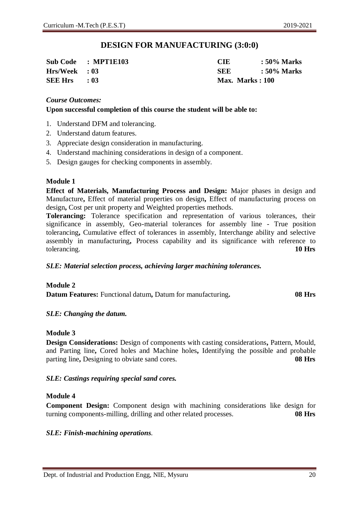### **DESIGN FOR MANUFACTURING (3:0:0)**

|                 | Sub Code : MPT1E103 | CIE             | : 50% Marks |
|-----------------|---------------------|-----------------|-------------|
| $Hrs/Week$ : 03 |                     | <b>SEE</b>      | : 50% Marks |
| $SEE Hrs = 03$  |                     | Max. Marks: 100 |             |

#### *Course Outcomes:*

#### **Upon successful completion of this course the student will be able to:**

- 1. Understand DFM and tolerancing.
- 2. Understand datum features.
- 3. Appreciate design consideration in manufacturing.
- 4. Understand machining considerations in design of a component.
- 5. Design gauges for checking components in assembly.

#### **Module 1**

**Effect of Materials, Manufacturing Process and Design:** Major phases in design and Manufacture**,** Effect of material properties on design**,** Effect of manufacturing process on design**,** Cost per unit property and Weighted properties methods.

**Tolerancing:** Tolerance specification and representation of various tolerances, their significance in assembly, Geo-material tolerances for assembly line - True position tolerancing**,** Cumulative effect of tolerances in assembly, Interchange ability and selective assembly in manufacturing**,** Process capability and its significance with reference to tolerancing. **10 Hrs**

#### *SLE: Material selection process, achieving larger machining tolerances.*

#### **Module 2**

**Datum Features:** Functional datum**,** Datum for manufacturing**. 08 Hrs**

#### *SLE: Changing the datum.*

#### **Module 3**

**Design Considerations:** Design of components with casting considerations**,** Pattern, Mould, and Parting line**,** Cored holes and Machine holes**,** Identifying the possible and probable parting line**,** Designing to obviate sand cores. **08 Hrs** 

#### *SLE: Castings requiring special sand cores.*

#### **Module 4**

**Component Design:** Component design with machining considerations like design for turning components-milling, drilling and other related processes. **08 Hrs** 

#### *SLE: Finish-machining operations.*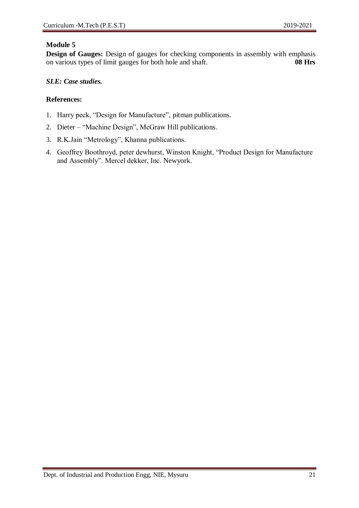**Design of Gauges:** Design of gauges for checking components in assembly with emphasis on various types of limit gauges for both hole and shaft. **08 Hrs** 

#### *SLE: Case studies.*

- 1. Harry peck, "Design for Manufacture", pitman publications.
- 2. Dieter "Machine Design", McGraw Hill publications.
- 3. R.K.Jain "Metrology", Khanna publications.
- 4. Geoffrey Boothroyd, peter dewhurst, Winston Knight, "Product Design for Manufacture and Assembly". Mercel dekker, Inc. Newyork.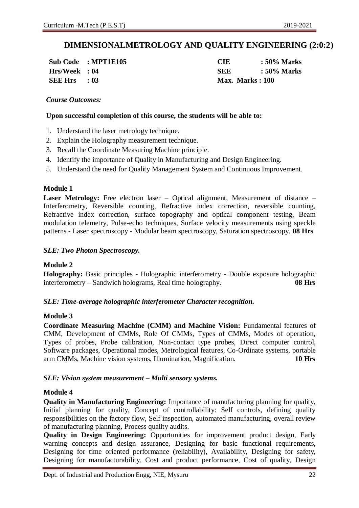### **DIMENSIONALMETROLOGY AND QUALITY ENGINEERING (2:0:2)**

**SEE Hrs : 03 Max. Marks : 100**

**Sub Code : MPT1E105 CIE : 50% Marks Hrs/Week : 04 SEE : 50% Marks**

#### *Course Outcomes:*

#### **Upon successful completion of this course, the students will be able to:**

- 1. Understand the laser metrology technique.
- 2. Explain the Holography measurement technique.
- 3. Recall the Coordinate Measuring Machine principle.
- 4. Identify the importance of Quality in Manufacturing and Design Engineering.
- 5. Understand the need for Quality Management System and Continuous Improvement.

#### **Module 1**

**Laser Metrology:** Free electron laser – Optical alignment, Measurement of distance – Interferometry, Reversible counting, Refractive index correction, reversible counting, Refractive index correction, surface topography and optical component testing, Beam modulation telemetry, Pulse-echo techniques, Surface velocity measurements using speckle patterns - Laser spectroscopy - Modular beam spectroscopy, Saturation spectroscopy. **08 Hrs** 

#### *SLE: Two Photon Spectroscopy.*

#### **Module 2**

**Holography:** Basic principles - Holographic interferometry - Double exposure holographic interferometry – Sandwich holograms, Real time holography. **08 Hrs** 

#### *SLE: Time-average holographic interferometer Character recognition.*

#### **Module 3**

**Coordinate Measuring Machine (CMM) and Machine Vision:** Fundamental features of CMM, Development of CMMs, Role Of CMMs, Types of CMMs, Modes of operation, Types of probes, Probe calibration, Non-contact type probes, Direct computer control, Software packages, Operational modes, Metrological features, Co-Ordinate systems, portable arm CMMs, Machine vision systems, Illumination, Magnification. **10 Hrs** 

#### *SLE: Vision system measurement – Multi sensory systems.*

#### **Module 4**

**Quality in Manufacturing Engineering:** Importance of manufacturing planning for quality, Initial planning for quality, Concept of controllability: Self controls, defining quality responsibilities on the factory flow, Self inspection, automated manufacturing, overall review of manufacturing planning, Process quality audits.

**Quality in Design Engineering:** Opportunities for improvement product design, Early warning concepts and design assurance, Designing for basic functional requirements, Designing for time oriented performance (reliability), Availability, Designing for safety, Designing for manufacturability, Cost and product performance, Cost of quality, Design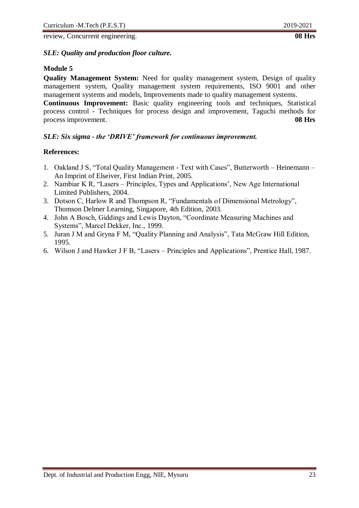review, Concurrent engineering. **08 Hrs**

#### *SLE: Quality and production floor culture.*

#### **Module 5**

**Quality Management System:** Need for quality management system, Design of quality management system, Quality management system requirements, ISO 9001 and other management systems and models, Improvements made to quality management systems.

**Continuous Improvement:** Basic quality engineering tools and techniques, Statistical process control - Techniques for process design and improvement, Taguchi methods for process improvement. **08 Hrs**

#### *SLE: Six sigma - the 'DRIVE' framework for continuous improvement.*

- 1. Oakland J S, "Total Quality Management Text with Cases", Butterworth Heinemann An Imprint of Elseiver, First Indian Print, 2005.
- 2. Nambiar K R, "Lasers Principles, Types and Applications', New Age International Limited Publishers, 2004.
- 3. Dotson C, Harlow R and Thompson R, "Fundamentals of Dimensional Metrology", Thomson Delmer Learning, Singapore, 4th Edition, 2003.
- 4. John A Bosch, Giddings and Lewis Dayton, "Coordinate Measuring Machines and Systems", Marcel Dekker, Inc., 1999.
- 5. Juran J M and Gryna F M, "Quality Planning and Analysis", Tata McGraw Hill Edition, 1995.
- 6. Wilson J and Hawker J F B, "Lasers Principles and Applications", Prentice Hall, 1987.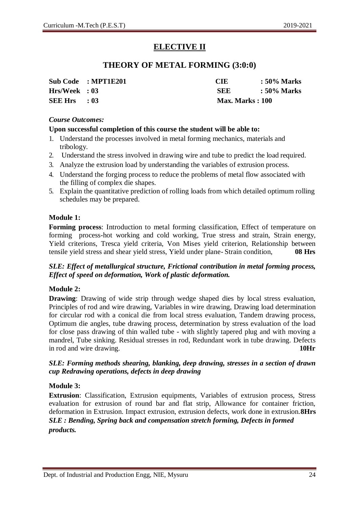### **ELECTIVE II**

### **THEORY OF METAL FORMING (3:0:0)**

|                | Sub Code : MPT1E201 | CIE                     | : 50% Marks |
|----------------|---------------------|-------------------------|-------------|
| Hrs/Week : 03  |                     | <b>SEE</b>              | : 50% Marks |
| <b>SEE Hrs</b> | $\cdot$ 03          | <b>Max. Marks</b> : 100 |             |

#### *Course Outcomes:*

#### **Upon successful completion of this course the student will be able to:**

- 1. Understand the processes involved in metal forming mechanics, materials and tribology.
- 2. Understand the stress involved in drawing wire and tube to predict the load required.
- 3. Analyze the extrusion load by understanding the variables of extrusion process.
- 4. Understand the forging process to reduce the problems of metal flow associated with the filling of complex die shapes.
- 5. Explain the quantitative prediction of rolling loads from which detailed optimum rolling schedules may be prepared.

#### **Module 1:**

**Forming process**: Introduction to metal forming classification, Effect of temperature on forming process-hot working and cold working, True stress and strain, Strain energy, Yield criterions, Tresca yield criteria, Von Mises yield criterion, Relationship between tensile yield stress and shear yield stress, Yield under plane- Strain condition, **08 Hrs**

#### *SLE: Effect of metallurgical structure, Frictional contribution in metal forming process, Effect of speed on deformation, Work of plastic deformation.*

#### **Module 2:**

**Drawing:** Drawing of wide strip through wedge shaped dies by local stress evaluation, Principles of rod and wire drawing, Variables in wire drawing, Drawing load determination for circular rod with a conical die from local stress evaluation, Tandem drawing process, Optimum die angles, tube drawing process, determination by stress evaluation of the load for close pass drawing of thin walled tube - with slightly tapered plug and with moving a mandrel, Tube sinking. Residual stresses in rod, Redundant work in tube drawing. Defects in rod and wire drawing. **10Hr**

#### *SLE: Forming methods shearing, blanking, deep drawing, stresses in a section of drawn cup Redrawing operations, defects in deep drawing*

#### **Module 3:**

**Extrusion**: Classification, Extrusion equipments, Variables of extrusion process, Stress evaluation for extrusion of round bar and flat strip, Allowance for container friction, deformation in Extrusion. Impact extrusion, extrusion defects, work done in extrusion.**8Hrs**  *SLE : Bending, Spring back and compensation stretch forming, Defects in formed products.*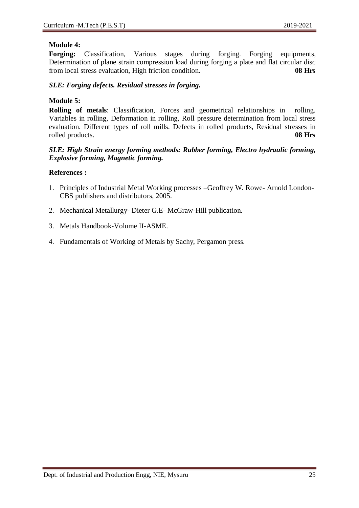#### **Module 4:**

Forging: Classification, Various stages during forging. Forging equipments, Determination of plane strain compression load during forging a plate and flat circular disc from local stress evaluation, High friction condition. **08 Hrs**

#### *SLE: Forging defects. Residual stresses in forging.*

#### **Module 5:**

**Rolling of metals**: Classification, Forces and geometrical relationships in rolling. Variables in rolling, Deformation in rolling, Roll pressure determination from local stress evaluation. Different types of roll mills. Defects in rolled products, Residual stresses in rolled products. **08 Hrs**

#### *SLE: High Strain energy forming methods: Rubber forming, Electro hydraulic forming, Explosive forming, Magnetic forming.*

- 1. Principles of Industrial Metal Working processes –Geoffrey W. Rowe- Arnold London-CBS publishers and distributors, 2005.
- 2. Mechanical Metallurgy- Dieter G.E- McGraw-Hill publication.
- 3. Metals Handbook-Volume II-ASME.
- 4. Fundamentals of Working of Metals by Sachy, Pergamon press.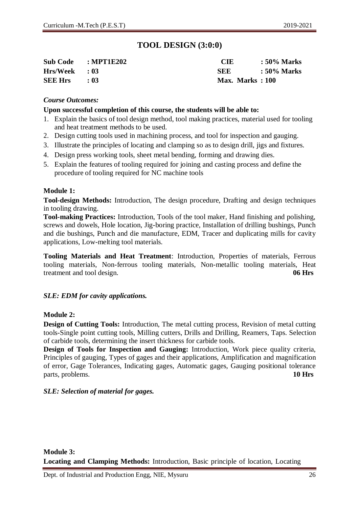### **TOOL DESIGN (3:0:0)**

| Sub Code : MPT1E202 |      | CIE                    | $\therefore$ 50% Marks |
|---------------------|------|------------------------|------------------------|
| $Hrs/Week$ : 03     |      | SEE.                   | : 50% Marks            |
| <b>SEE Hrs</b>      | : 03 | <b>Max. Marks: 100</b> |                        |

#### *Course Outcomes:*

#### **Upon successful completion of this course, the students will be able to:**

- 1. Explain the basics of tool design method, tool making practices, material used for tooling and heat treatment methods to be used.
- 2. Design cutting tools used in machining process, and tool for inspection and gauging.
- 3. Illustrate the principles of locating and clamping so as to design drill, jigs and fixtures.
- 4. Design press working tools, sheet metal bending, forming and drawing dies.
- 5. Explain the features of tooling required for joining and casting process and define the procedure of tooling required for NC machine tools

#### **Module 1:**

**Tool-design Methods:** Introduction, The design procedure, Drafting and design techniques in tooling drawing.

**Tool-making Practices:** Introduction, Tools of the tool maker, Hand finishing and polishing, screws and dowels, Hole location, Jig-boring practice, Installation of drilling bushings, Punch and die bushings, Punch and die manufacture, EDM, Tracer and duplicating mills for cavity applications, Low-melting tool materials.

**Tooling Materials and Heat Treatment**: Introduction, Properties of materials, Ferrous tooling materials, Non-ferrous tooling materials, Non-metallic tooling materials, Heat treatment and tool design. **06 Hrs**

#### *SLE: EDM for cavity applications.*

#### **Module 2:**

**Design of Cutting Tools:** Introduction, The metal cutting process, Revision of metal cutting tools-Single point cutting tools, Milling cutters, Drills and Drilling, Reamers, Taps. Selection of carbide tools, determining the insert thickness for carbide tools.

**Design of Tools for Inspection and Gauging:** Introduction, Work piece quality criteria, Principles of gauging, Types of gages and their applications, Amplification and magnification of error, Gage Tolerances, Indicating gages, Automatic gages, Gauging positional tolerance parts, problems. **10 Hrs**

#### *SLE: Selection of material for gages.*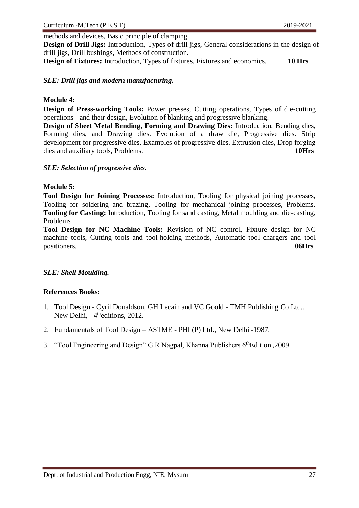methods and devices, Basic principle of clamping.

**Design of Drill Jigs:** Introduction, Types of drill jigs, General considerations in the design of drill jigs, Drill bushings, Methods of construction.

**Design of Fixtures:** Introduction, Types of fixtures, Fixtures and economics. **10 Hrs**

#### *SLE: Drill jigs and modern manufacturing.*

#### **Module 4:**

**Design of Press-working Tools:** Power presses, Cutting operations, Types of die-cutting operations - and their design, Evolution of blanking and progressive blanking.

**Design of Sheet Metal Bending, Forming and Drawing Dies:** Introduction, Bending dies, Forming dies, and Drawing dies. Evolution of a draw die, Progressive dies. Strip development for progressive dies, Examples of progressive dies. Extrusion dies, Drop forging dies and auxiliary tools, Problems. **10Hrs**

#### *SLE: Selection of progressive dies.*

#### **Module 5:**

**Tool Design for Joining Processes:** Introduction, Tooling for physical joining processes, Tooling for soldering and brazing, Tooling for mechanical joining processes, Problems. **Tooling for Casting:** Introduction, Tooling for sand casting, Metal moulding and die-casting, Problems

**Tool Design for NC Machine Tools:** Revision of NC control, Fixture design for NC machine tools, Cutting tools and tool-holding methods, Automatic tool chargers and tool positioners. **06Hrs**

#### *SLE: Shell Moulding.*

#### **References Books:**

- 1. Tool Design Cyril Donaldson, GH Lecain and VC Goold TMH Publishing Co Ltd., New Delhi, - 4<sup>th</sup>editions, 2012.
- 2. Fundamentals of Tool Design ASTME PHI (P) Ltd., New Delhi -1987.
- 3. "Tool Engineering and Design" G.R Nagpal, Khanna Publishers 6<sup>th</sup>Edition .2009.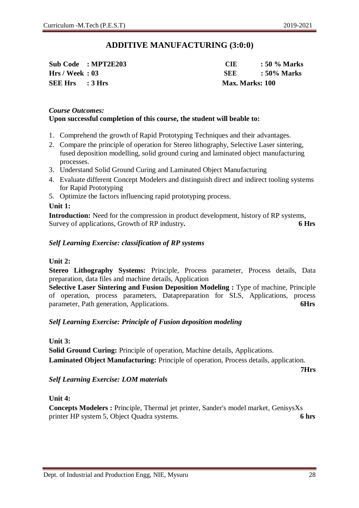### **ADDITIVE MANUFACTURING (3:0:0)**

**Sub Code : MPT2E203 CIE : 50 % Marks SEE Hrs : 3 Hrs Max. Marks: 100**

**Hrs / Week : 03 SEE : 50% Marks**

#### *Course Outcomes:* **Upon successful completion of this course, the student will beable to:**

- 1. Comprehend the growth of Rapid Prototyping Techniques and their advantages.
- 2. Compare the principle of operation for Stereo lithography, Selective Laser sintering, fused deposition modelling, solid ground curing and laminated object manufacturing processes.
- 3. Understand Solid Ground Curing and Laminated Object Manufacturing
- 4. Evaluate different Concept Modelers and distinguish direct and indirect tooling systems for Rapid Prototyping
- 5. Optimize the factors influencing rapid prototyping process.

#### **Unit 1:**

**Introduction:** Need for the compression in product development, history of RP systems, Survey of applications, Growth of RP industry**. 6 Hrs** 

#### *Self Learning Exercise: classification of RP systems*

#### **Unit 2:**

**Stereo Lithography Systems:** Principle, Process parameter, Process details, Data preparation, data files and machine details, Application

**Selective Laser Sintering and Fusion Deposition Modeling :** Type of machine, Principle of operation, process parameters, Datapreparation for SLS, Applications, process parameter, Path generation, Applications. **6Hrs**

#### *Self Learning Exercise: Principle of Fusion deposition modeling*

#### **Unit 3:**

**Solid Ground Curing:** Principle of operation, Machine details, Applications. **Laminated Object Manufacturing:** Principle of operation, Process details, application.

#### *Self Learning Exercise: LOM materials*

#### **Unit 4:**

**Concepts Modelers :** Principle, Thermal jet printer, Sander's model market, GenisysXs printer HP system 5, Object Quadra systems. **6 hrs**

**7Hrs**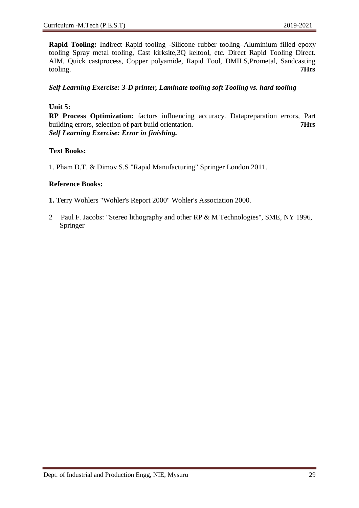**Rapid Tooling:** Indirect Rapid tooling -Silicone rubber tooling–Aluminium filled epoxy tooling Spray metal tooling, Cast kirksite,3Q keltool, etc. Direct Rapid Tooling Direct. AIM, Quick castprocess, Copper polyamide, Rapid Tool, DMILS,Prometal, Sandcasting tooling. **7Hrs**

#### *Self Learning Exercise: 3-D printer, Laminate tooling soft Tooling vs. hard tooling*

#### **Unit 5:**

**RP Process Optimization:** factors influencing accuracy. Datapreparation errors, Part building errors, selection of part build orientation. **7Hrs**  *Self Learning Exercise: Error in finishing.*

#### **Text Books:**

1. Pham D.T. & Dimov S.S "Rapid Manufacturing" Springer London 2011.

#### **Reference Books:**

- **1.** Terry Wohlers "Wohler's Report 2000" Wohler's Association 2000.
- 2 Paul F. Jacobs: "Stereo lithography and other RP & M Technologies", SME, NY 1996, Springer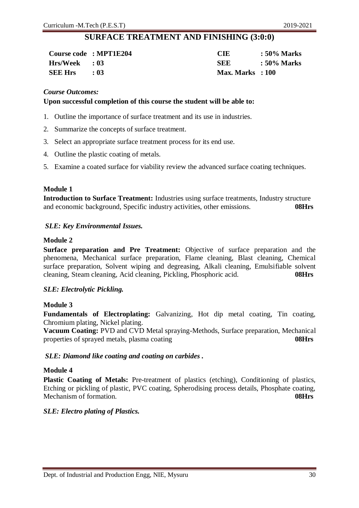### **SURFACE TREATMENT AND FINISHING (3:0:0)**

|                | Course code : MPT1E204 | <b>CIE</b>         | : 50% Marks |
|----------------|------------------------|--------------------|-------------|
| Hrs/Week : 03  |                        | <b>SEE</b>         | : 50% Marks |
| <b>SEE Hrs</b> | - 03                   | $Max. Marks$ : 100 |             |

#### *Course Outcomes:*

#### **Upon successful completion of this course the student will be able to:**

- 1. Outline the importance of surface treatment and its use in industries.
- 2. Summarize the concepts of surface treatment.
- 3. Select an appropriate surface treatment process for its end use.
- 4. Outline the plastic coating of metals.
- 5. Examine a coated surface for viability review the advanced surface coating techniques.

#### **Module 1**

**Introduction to Surface Treatment:** Industries using surface treatments, Industry structure and economic background, Specific industry activities, other emissions. **08Hrs**

#### *SLE: Key Environmental Issues.*

#### **Module 2**

**Surface preparation and Pre Treatment:** Objective of surface preparation and the phenomena, Mechanical surface preparation, Flame cleaning, Blast cleaning, Chemical surface preparation, Solvent wiping and degreasing, Alkali cleaning, Emulsifiable solvent cleaning, Steam cleaning, Acid cleaning, Pickling, Phosphoric acid. **08Hrs**

#### *SLE: Electrolytic Pickling.*

#### **Module 3**

**Fundamentals of Electroplating:** Galvanizing, Hot dip metal coating, Tin coating, Chromium plating, Nickel plating.

**Vacuum Coating:** PVD and CVD Metal spraying-Methods, Surface preparation, Mechanical properties of sprayed metals, plasma coating **08Hrs**

#### *SLE: Diamond like coating and coating on carbides .*

#### **Module 4**

Plastic Coating of Metals: Pre-treatment of plastics (etching), Conditioning of plastics, Etching or pickling of plastic, PVC coating, Spherodising process details, Phosphate coating, Mechanism of formation. **08Hrs**

#### *SLE: Electro plating of Plastics.*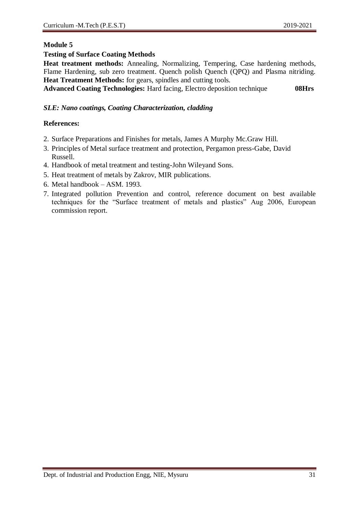#### **Testing of Surface Coating Methods**

**Heat treatment methods:** Annealing, Normalizing, Tempering, Case hardening methods, Flame Hardening, sub zero treatment. Quench polish Quench (QPQ) and Plasma nitriding. **Heat Treatment Methods:** for gears, spindles and cutting tools.

**Advanced Coating Technologies:** Hard facing, Electro deposition technique **08Hrs**

#### *SLE: Nano coatings, Coating Characterization, cladding*

- 2. Surface Preparations and Finishes for metals, James A Murphy Mc.Graw Hill.
- 3. Principles of Metal surface treatment and protection, Pergamon press-Gabe, David Russell.
- 4. Handbook of metal treatment and testing-John Wileyand Sons.
- 5. Heat treatment of metals by Zakrov, MIR publications.
- 6. Metal handbook ASM. 1993.
- 7. Integrated pollution Prevention and control, reference document on best available techniques for the "Surface treatment of metals and plastics" Aug 2006, European commission report.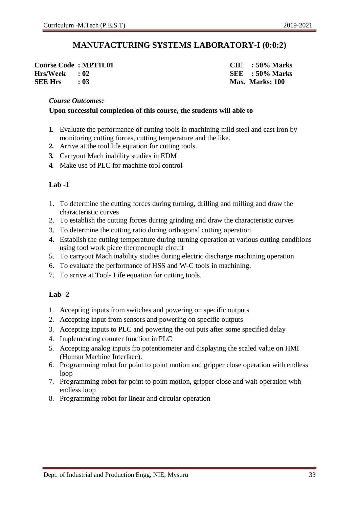### **MANUFACTURING SYSTEMS LABORATORY-I (0:0:2)**

**Course Code : MPT1L01 CIE : 50% Marks Hrs/Week : 02 SEE : 50% Marks SEE Hrs : 03 Max. Marks: 100**

#### *Course Outcomes:*

#### **Upon successful completion of this course, the students will able to**

- **1.** Evaluate the performance of cutting tools in machining mild steel and cast iron by monitoring cutting forces, cutting temperature and the like.
- **2.** Arrive at the tool life equation for cutting tools.
- **3.** Carryout Mach inability studies in EDM
- **4.** Make use of PLC for machine tool control

#### **Lab -1**

- 1. To determine the cutting forces during turning, drilling and milling and draw the characteristic curves
- 2. To establish the cutting forces during grinding and draw the characteristic curves
- 3. To determine the cutting ratio during orthogonal cutting operation
- 4. Establish the cutting temperature during turning operation at various cutting conditions using tool work piece thermocouple circuit
- 5. To carryout Mach inability studies during electric discharge machining operation
- 6. To evaluate the performance of HSS and W-C tools in machining.
- 7. To arrive at Tool- Life equation for cutting tools.

#### **Lab -2**

- 1. Accepting inputs from switches and powering on specific outputs
- 2. Accepting input from sensors and powering on specific outputs
- 3. Accepting inputs to PLC and powering the out puts after some specified delay
- 4. Implementing counter function in PLC
- 5. Accepting analog inputs fro potentiometer and displaying the scaled value on HMI (Human Machine Interface).
- 6. Programming robot for point to point motion and gripper close operation with endless loop
- 7. Programming robot for point to point motion, gripper close and wait operation with endless loop
- 8. Programming robot for linear and circular operation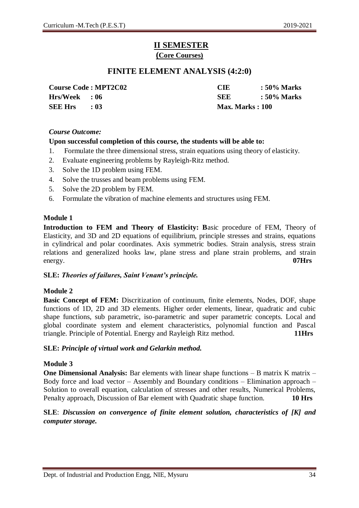## **II SEMESTER (Core Courses)**

### **FINITE ELEMENT ANALYSIS (4:2:0)**

**SEE Hrs : 03 Max. Marks : 100**

**Course Code : MPT2C02 CIE : 50% Marks Hrs/Week : 06 SEE : 50% Marks**

#### *Course Outcome:*

#### **Upon successful completion of this course, the students will be able to:**

- 1. Formulate the three dimensional stress, strain equations using theory of elasticity.
- 2. Evaluate engineering problems by Rayleigh-Ritz method.
- 3. Solve the 1D problem using FEM.
- 4. Solve the trusses and beam problems using FEM.
- 5. Solve the 2D problem by FEM.
- 6. Formulate the vibration of machine elements and structures using FEM.

#### **Module 1**

**Introduction to FEM and Theory of Elasticity: B**asic procedure of FEM, Theory of Elasticity, and 3D and 2D equations of equilibrium, principle stresses and strains, equations in cylindrical and polar coordinates. Axis symmetric bodies. Strain analysis, stress strain relations and generalized hooks law, plane stress and plane strain problems, and strain energy. **07Hrs**

#### **SLE:** *Theories of failures, Saint Venant's principle.*

#### **Module 2**

**Basic Concept of FEM:** Discritization of continuum, finite elements, Nodes, DOF, shape functions of 1D, 2D and 3D elements. Higher order elements, linear, quadratic and cubic shape functions, sub parametric, iso-parametric and super parametric concepts. Local and global coordinate system and element characteristics, polynomial function and Pascal triangle. Principle of Potential. Energy and Rayleigh Ritz method. **11Hrs**

#### **SLE:** *Principle of virtual work and Gelarkin method.*

#### **Module 3**

**One Dimensional Analysis:** Bar elements with linear shape functions – B matrix K matrix – Body force and load vector – Assembly and Boundary conditions – Elimination approach – Solution to overall equation, calculation of stresses and other results, Numerical Problems, Penalty approach, Discussion of Bar element with Quadratic shape function. **10 Hrs**

#### **SLE**: *Discussion on convergence of finite element solution, characteristics of [K] and computer storage.*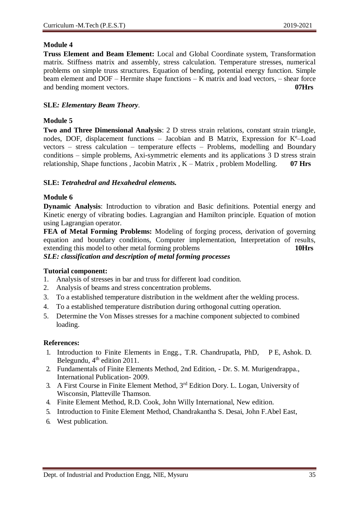**Truss Element and Beam Element:** Local and Global Coordinate system, Transformation matrix. Stiffness matrix and assembly, stress calculation. Temperature stresses, numerical problems on simple truss structures. Equation of bending, potential energy function. Simple beam element and DOF – Hermite shape functions – K matrix and load vectors, – shear force and bending moment vectors. **07Hrs**

#### **SLE***: Elementary Beam Theory.*

#### **Module 5**

**Two and Three Dimensional Analysis**: 2 D stress strain relations, constant strain triangle, nodes, DOF, displacement functions - Jacobian and B Matrix, Expression for K<sup>e</sup>-Load vectors – stress calculation – temperature effects – Problems, modelling and Boundary conditions – simple problems, Axi-symmetric elements and its applications 3 D stress strain relationship, Shape functions , Jacobin Matrix , K – Matrix , problem Modelling. **07 Hrs**

#### **SLE:** *Tetrahedral and Hexahedral elements.*

#### **Module 6**

**Dynamic Analysis**: Introduction to vibration and Basic definitions. Potential energy and Kinetic energy of vibrating bodies. Lagrangian and Hamilton principle. Equation of motion using Lagrangian operator.

**FEA of Metal Forming Problems:** Modeling of forging process, derivation of governing equation and boundary conditions, Computer implementation, Interpretation of results, extending this model to other metal forming problems **10Hrs** *SLE: classification and description of metal forming processes*

#### **Tutorial component:**

- 1. Analysis of stresses in bar and truss for different load condition.
- 2. Analysis of beams and stress concentration problems.
- 3. To a established temperature distribution in the weldment after the welding process.
- 4. To a established temperature distribution during orthogonal cutting operation.
- 5. Determine the Von Misses stresses for a machine component subjected to combined loading.

- 1. Introduction to Finite Elements in Engg., T.R. Chandrupatla, PhD, P E, Ashok. D. Belegundu,  $4<sup>th</sup>$  edition 2011.
- 2. Fundamentals of Finite Elements Method, 2nd Edition, Dr. S. M. Murigendrappa., International Publication- 2009.
- 3. A First Course in Finite Element Method, 3rd Edition Dory. L. Logan, University of Wisconsin, Platteville Thamson.
- 4. Finite Element Method, R.D. Cook, John Willy International, New edition.
- 5. Introduction to Finite Element Method, Chandrakantha S. Desai, John F.Abel East,
- 6. West publication.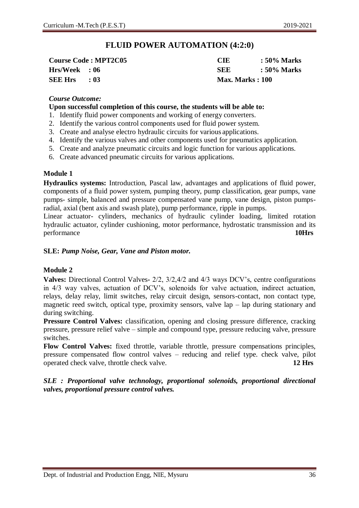### **FLUID POWER AUTOMATION (4:2:0)**

|                | <b>Course Code: MPT2C05</b> | <b>CIE</b>              | $\therefore$ 50% Marks |
|----------------|-----------------------------|-------------------------|------------------------|
| Hrs/Week : 06  |                             | SEE                     | $\therefore$ 50% Marks |
| <b>SEE Hrs</b> | $\cdot$ 03                  | <b>Max. Marks</b> : 100 |                        |

#### *Course Outcome:*

#### **Upon successful completion of this course, the students will be able to:**

- 1. Identify fluid power components and working of energy converters.
- 2. Identify the various control components used for fluid power system.
- 3. Create and analyse electro hydraulic circuits for various applications.
- 4. Identify the various valves and other components used for pneumatics application.
- 5. Create and analyze pneumatic circuits and logic function for various applications.
- 6. Create advanced pneumatic circuits for various applications.

#### **Module 1**

**Hydraulics systems:** Introduction, Pascal law, advantages and applications of fluid power, components of a fluid power system, pumping theory, pump classification, gear pumps, vane pumps- simple, balanced and pressure compensated vane pump, vane design, piston pumpsradial, axial (bent axis and swash plate), pump performance, ripple in pumps.

Linear actuator- cylinders, mechanics of hydraulic cylinder loading, limited rotation hydraulic actuator, cylinder cushioning, motor performance, hydrostatic transmission and its performance **10Hrs**

#### **SLE:** *Pump Noise, Gear, Vane and Piston motor.*

#### **Module 2**

**Valves:** Directional Control Valves**-** 2/2, 3/2,4/2 and 4/3 ways DCV's, centre configurations in 4/3 way valves, actuation of DCV's, solenoids for valve actuation, indirect actuation, relays, delay relay, limit switches, relay circuit design, sensors-contact, non contact type, magnetic reed switch, optical type, proximity sensors, valve lap – lap during stationary and during switching.

**Pressure Control Valves:** classification, opening and closing pressure difference, cracking pressure, pressure relief valve – simple and compound type, pressure reducing valve, pressure switches.

**Flow Control Valves:** fixed throttle, variable throttle, pressure compensations principles, pressure compensated flow control valves – reducing and relief type. check valve, pilot operated check valve, throttle check valve. **12 Hrs**

*SLE : Proportional valve technology, proportional solenoids, proportional directional valves, proportional pressure control valves.*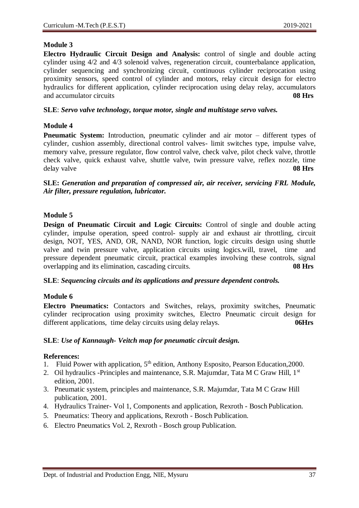**Electro Hydraulic Circuit Design and Analysis:** control of single and double acting cylinder using 4/2 and 4/3 solenoid valves, regeneration circuit, counterbalance application, cylinder sequencing and synchronizing circuit, continuous cylinder reciprocation using proximity sensors, speed control of cylinder and motors, relay circuit design for electro hydraulics for different application, cylinder reciprocation using delay relay, accumulators and accumulator circuits **08 Hrs**

#### **SLE**: *Servo valve technology, torque motor, single and multistage servo valves.*

### **Module 4**

**Pneumatic System:** Introduction, pneumatic cylinder and air motor – different types of cylinder, cushion assembly, directional control valves- limit switches type, impulse valve, memory valve, pressure regulator, flow control valve, check valve, pilot check valve, throttle check valve, quick exhaust valve, shuttle valve, twin pressure valve, reflex nozzle, time delay valve **08 Hrs**

**SLE:** *Generation and preparation of compressed air, air receiver, servicing FRL Module, Air filter, pressure regulation, lubricator.*

### **Module 5**

**Design of Pneumatic Circuit and Logic Circuits:** Control of single and double acting cylinder, impulse operation, speed control- supply air and exhaust air throttling, circuit design, NOT, YES, AND, OR, NAND, NOR function, logic circuits design using shuttle valve and twin pressure valve, application circuits using logics.will, travel, time and pressure dependent pneumatic circuit, practical examples involving these controls, signal overlapping and its elimination, cascading circuits. **08 Hrs**

#### **SLE**: *Sequencing circuits and its applications and pressure dependent controls.*

### **Module 6**

**Electro Pneumatics:** Contactors and Switches, relays, proximity switches, Pneumatic cylinder reciprocation using proximity switches, Electro Pneumatic circuit design for different applications, time delay circuits using delay relays. 06Hrs

#### **SLE**: *Use of Kannaugh- Veitch map for pneumatic circuit design.*

- 1. Fluid Power with application,  $5<sup>th</sup>$  edition, Anthony Esposito, Pearson Education, 2000.
- 2. Oil hydraulics -Principles and maintenance, S.R. Majumdar, Tata M C Graw Hill, 1<sup>st</sup> edition, 2001.
- 3. Pneumatic system, principles and maintenance, S.R. Majumdar, Tata M C Graw Hill publication, 2001.
- 4. Hydraulics Trainer- Vol 1, Components and application, Rexroth Bosch Publication.
- 5. Pneumatics: Theory and applications, Rexroth Bosch Publication.
- 6. Electro Pneumatics Vol. 2, Rexroth Bosch group Publication.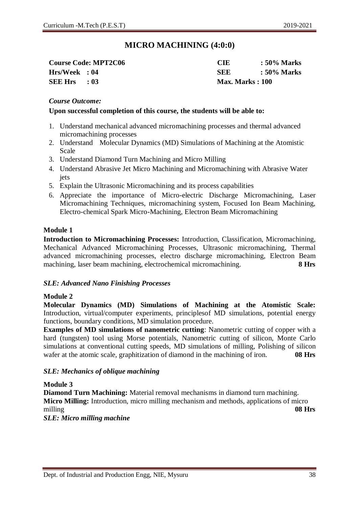### **MICRO MACHINING (4:0:0)**

|                | <b>Course Code: MPT2C06</b> | CIE                     | : 50% Marks |
|----------------|-----------------------------|-------------------------|-------------|
| Hrs/Week : 04  |                             | <b>SEE</b>              | : 50% Marks |
| $SEE Hrs = 03$ |                             | <b>Max. Marks</b> : 100 |             |

#### *Course Outcome:*

#### **Upon successful completion of this course, the students will be able to:**

- 1. Understand mechanical advanced micromachining processes and thermal advanced micromachining processes
- 2. Understand Molecular Dynamics (MD) Simulations of Machining at the Atomistic Scale
- 3. Understand Diamond Turn Machining and Micro Milling
- 4. Understand Abrasive Jet Micro Machining and Micromachining with Abrasive Water jets
- 5. Explain the Ultrasonic Micromachining and its process capabilities
- 6. Appreciate the importance of Micro-electric Discharge Micromachining, Laser Micromachining Techniques, micromachining system, Focused Ion Beam Machining, Electro-chemical Spark Micro-Machining, Electron Beam Micromachining

#### **Module 1**

**Introduction to Micromachining Processes:** Introduction, Classification, Micromachining, Mechanical Advanced Micromachining Processes, Ultrasonic micromachining, Thermal advanced micromachining processes, electro discharge micromachining, Electron Beam machining, laser beam machining, electrochemical micromachining. **8 Hrs** 

#### *SLE: Advanced Nano Finishing Processes*

#### **Module 2**

**Molecular Dynamics (MD) Simulations of Machining at the Atomistic Scale:**  Introduction, virtual/computer experiments, principlesof MD simulations, potential energy functions, boundary conditions, MD simulation procedure.

**Examples of MD simulations of nanometric cutting**: Nanometric cutting of copper with a hard (tungsten) tool using Morse potentials, Nanometric cutting of silicon, Monte Carlo simulations at conventional cutting speeds, MD simulations of milling, Polishing of silicon wafer at the atomic scale, graphitization of diamond in the machining of iron. **08 Hrs** 

#### *SLE: Mechanics of oblique machining*

**Module 3**

**Diamond Turn Machining:** Material removal mechanisms in diamond turn machining. **Micro Milling:** Introduction, micro milling mechanism and methods, applications of micro milling **08 Hrs**

*SLE: Micro milling machine*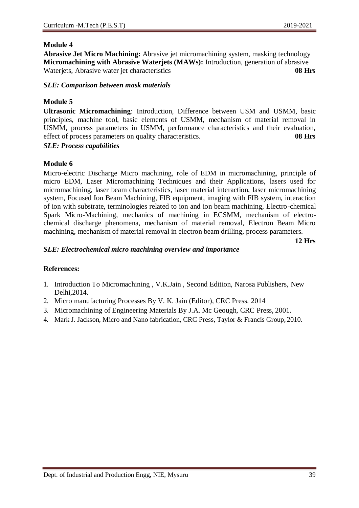**Abrasive Jet Micro Machining:** Abrasive jet micromachining system, masking technology **Micromachining with Abrasive Waterjets (MAWs):** Introduction, generation of abrasive Waterjets, Abrasive water jet characteristics **08 Hrs**

#### *SLE: Comparison between mask materials*

#### **Module 5**

**Ultrasonic Micromachining**: Introduction, Difference between USM and USMM, basic principles, machine tool, basic elements of USMM, mechanism of material removal in USMM, process parameters in USMM, performance characteristics and their evaluation, effect of process parameters on quality characteristics. **08 Hrs** 

#### *SLE: Process capabilities*

#### **Module 6**

Micro-electric Discharge Micro machining, role of EDM in micromachining, principle of micro EDM, Laser Micromachining Techniques and their Applications, lasers used for micromachining, laser beam characteristics, laser material interaction, laser micromachining system, Focused Ion Beam Machining, FIB equipment, imaging with FIB system, interaction of ion with substrate, terminologies related to ion and ion beam machining, Electro-chemical Spark Micro-Machining, mechanics of machining in ECSMM, mechanism of electrochemical discharge phenomena, mechanism of material removal, Electron Beam Micro machining, mechanism of material removal in electron beam drilling, process parameters.

**12 Hrs**

#### *SLE: Electrochemical micro machining overview and importance*

- 1. Introduction To Micromachining , V.K.Jain , Second Edition, Narosa Publishers, New Delhi,2014.
- 2. Micro manufacturing Processes By V. K. Jain (Editor), CRC Press. 2014
- 3. Micromachining of Engineering Materials By J.A. Mc Geough, CRC Press, 2001.
- 4. Mark J. Jackson, Micro and Nano fabrication, CRC Press, Taylor & Francis Group, 2010.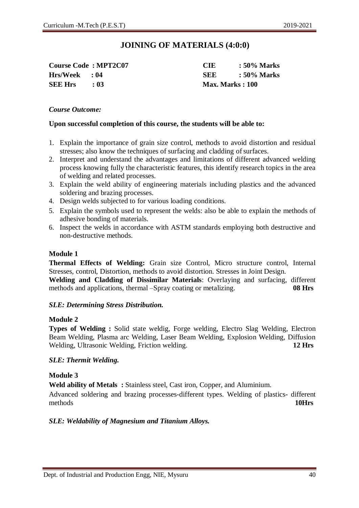### **JOINING OF MATERIALS (4:0:0)**

**Hrs/Week : 04 SEE : 50% Marks SEE Hrs : 03 Max. Marks : 100**

**Course Code : MPT2C07 CIE : 50% Marks**

#### *Course Outcome:*

#### **Upon successful completion of this course, the students will be able to:**

- 1. Explain the importance of grain size control, methods to avoid distortion and residual stresses; also know the techniques of surfacing and cladding of surfaces.
- 2. Interpret and understand the advantages and limitations of different advanced welding process knowing fully the characteristic features, this identify research topics in the area of welding and related processes.
- 3. Explain the weld ability of engineering materials including plastics and the advanced soldering and brazing processes.
- 4. Design welds subjected to for various loading conditions.
- 5. Explain the symbols used to represent the welds: also be able to explain the methods of adhesive bonding of materials.
- 6. Inspect the welds in accordance with ASTM standards employing both destructive and non-destructive methods.

#### **Module 1**

**Thermal Effects of Welding:** Grain size Control, Micro structure control, Internal Stresses, control, Distortion, methods to avoid distortion. Stresses in Joint Design.

**Welding and Cladding of Dissimilar Materials**: Overlaying and surfacing, different methods and applications, thermal –Spray coating or metalizing. **08 Hrs**

#### *SLE: Determining Stress Distribution.*

#### **Module 2**

**Types of Welding :** Solid state weldig, Forge welding, Electro Slag Welding, Electron Beam Welding, Plasma arc Welding, Laser Beam Welding, Explosion Welding, Diffusion Welding, Ultrasonic Welding, Friction welding. **12 Hrs**

#### *SLE: Thermit Welding.*

#### **Module 3**

**Weld ability of Metals :** Stainless steel, Cast iron, Copper, and Aluminium.

Advanced soldering and brazing processes-different types. Welding of plastics- different methods **10Hrs**

#### *SLE: Weldability of Magnesium and Titanium Alloys.*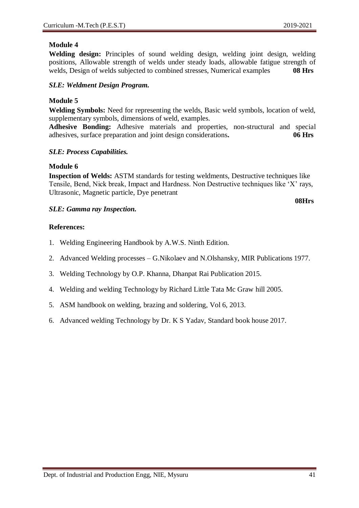**Welding design:** Principles of sound welding design, welding joint design, welding positions, Allowable strength of welds under steady loads, allowable fatigue strength of welds, Design of welds subjected to combined stresses, Numerical examples **08 Hrs** 

#### *SLE: Weldment Design Program.*

#### **Module 5**

**Welding Symbols:** Need for representing the welds, Basic weld symbols, location of weld, supplementary symbols, dimensions of weld, examples.

**Adhesive Bonding:** Adhesive materials and properties, non-structural and special adhesives, surface preparation and joint design considerations**. 06 Hrs**

#### *SLE: Process Capabilities.*

#### **Module 6**

**Inspection of Welds:** ASTM standards for testing weldments, Destructive techniques like Tensile, Bend, Nick break, Impact and Hardness. Non Destructive techniques like 'X' rays, Ultrasonic, Magnetic particle, Dye penetrant

#### *SLE: Gamma ray Inspection.*

**08Hrs**

- 1. Welding Engineering Handbook by A.W.S. Ninth Edition.
- 2. Advanced Welding processes G.Nikolaev and N.Olshansky, MIR Publications 1977.
- 3. Welding Technology by O.P. Khanna, Dhanpat Rai Publication 2015.
- 4. Welding and welding Technology by Richard Little Tata Mc Graw hill 2005.
- 5. ASM handbook on welding, brazing and soldering, Vol 6, 2013.
- 6. Advanced welding Technology by Dr. K S Yadav, Standard book house 2017.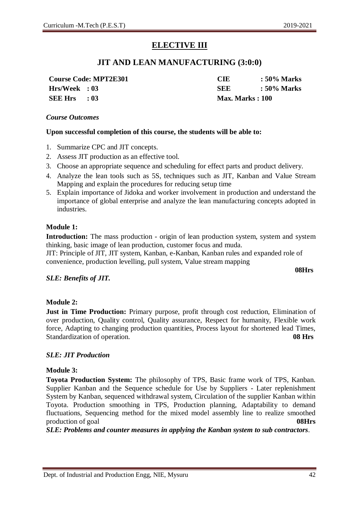### **ELECTIVE III**

### **JIT AND LEAN MANUFACTURING (3:0:0)**

**Course Code: MPT2E301 CIE : 50% Marks Hrs/Week : 03 SEE : 50% Marks SEE Hrs : 03 Max. Marks : 100**

#### *Course Outcomes*

#### **Upon successful completion of this course, the students will be able to:**

- 1. Summarize CPC and JIT concepts.
- 2. Assess JIT production as an effective tool.
- 3. Choose an appropriate sequence and scheduling for effect parts and product delivery.
- 4. Analyze the lean tools such as 5S, techniques such as JIT, Kanban and Value Stream Mapping and explain the procedures for reducing setup time
- 5. Explain importance of Jidoka and worker involvement in production and understand the importance of global enterprise and analyze the lean manufacturing concepts adopted in industries.

#### **Module 1:**

**Introduction:** The mass production - origin of lean production system, system and system thinking, basic image of lean production, customer focus and muda.

JIT: Principle of JIT, JIT system, Kanban, e-Kanban, Kanban rules and expanded role of convenience, production levelling, pull system, Value stream mapping

**08Hrs**

#### *SLE: Benefits of JIT.*

#### **Module 2:**

**Just in Time Production:** Primary purpose, profit through cost reduction, Elimination of over production, Quality control, Quality assurance, Respect for humanity, Flexible work force, Adapting to changing production quantities, Process layout for shortened lead Times, Standardization of operation. **08 Hrs**

#### *SLE: JIT Production*

#### **Module 3:**

**Toyota Production System:** The philosophy of TPS, Basic frame work of TPS, Kanban. Supplier Kanban and the Sequence schedule for Use by Suppliers - Later replenishment System by Kanban, sequenced withdrawal system, Circulation of the supplier Kanban within Toyota. Production smoothing in TPS, Production planning, Adaptability to demand fluctuations, Sequencing method for the mixed model assembly line to realize smoothed production of goal **08Hrs**

*SLE: Problems and counter measures in applying the Kanban system to sub contractors.*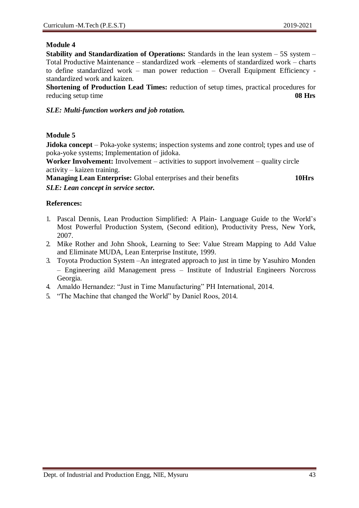**Stability and Standardization of Operations:** Standards in the lean system – 5S system – Total Productive Maintenance – standardized work –elements of standardized work – charts to define standardized work – man power reduction – Overall Equipment Efficiency standardized work and kaizen.

**Shortening of Production Lead Times:** reduction of setup times, practical procedures for reducing setup time **08 Hrs**

#### *SLE: Multi-function workers and job rotation.*

#### **Module 5**

**Jidoka concept** – Poka-yoke systems; inspection systems and zone control; types and use of poka-yoke systems; Implementation of jidoka.

**Worker Involvement:** Involvement – activities to support involvement – quality circle activity – kaizen training.

**Managing Lean Enterprise:** Global enterprises and their benefits **10Hrs** *SLE: Lean concept in service sector.*

- 1. Pascal Dennis, Lean Production Simplified: A Plain- Language Guide to the World's Most Powerful Production System, (Second edition), Productivity Press, New York, 2007.
- 2. Mike Rother and John Shook, Learning to See: Value Stream Mapping to Add Value and Eliminate MUDA, Lean Enterprise Institute, 1999.
- 3. Toyota Production System –An integrated approach to just in time by Yasuhiro Monden – Engineering aild Management press – Institute of Industrial Engineers Norcross Georgia.
- 4. Amaldo Hernandez: "Just in Time Manufacturing" PH International, 2014.
- 5. "The Machine that changed the World" by Daniel Roos, 2014.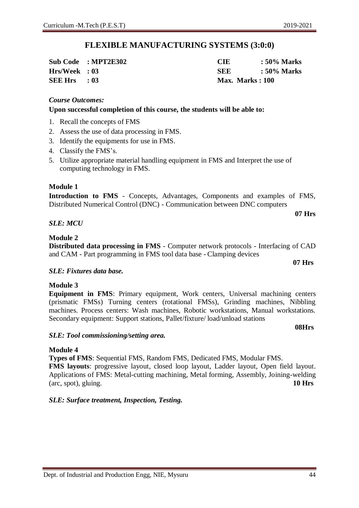### **FLEXIBLE MANUFACTURING SYSTEMS (3:0:0)**

|                | Sub Code : MPT2E302 | CIE                     | : 50% Marks |
|----------------|---------------------|-------------------------|-------------|
| Hrs/Week : 03  |                     | SEE                     | :50% Marks  |
| $SEE Hrs = 03$ |                     | <b>Max. Marks : 100</b> |             |

#### *Course Outcomes:*

#### **Upon successful completion of this course, the students will be able to:**

- 1. Recall the concepts of FMS
- 2. Assess the use of data processing in FMS.
- 3. Identify the equipments for use in FMS.
- 4. Classify the FMS's.
- 5. Utilize appropriate material handling equipment in FMS and Interpret the use of computing technology in FMS.

#### **Module 1**

**Introduction to FMS** - Concepts, Advantages, Components and examples of FMS, Distributed Numerical Control (DNC) - Communication between DNC computers

#### *SLE: MCU*

#### **Module 2**

**Distributed data processing in FMS** - Computer network protocols - Interfacing of CAD and CAM - Part programming in FMS tool data base - Clamping devices

#### *SLE: Fixtures data base.*

#### **Module 3**

**Equipment in FMS**: Primary equipment, Work centers, Universal machining centers (prismatic FMSs) Turning centers (rotational FMSs), Grinding machines, Nibbling machines. Process centers: Wash machines, Robotic workstations, Manual workstations. Secondary equipment: Support stations, Pallet/fixture/ load/unload stations

#### *SLE: Tool commissioning/setting area.*

#### **Module 4**

**Types of FMS**: Sequential FMS, Random FMS, Dedicated FMS, Modular FMS. **FMS layouts**: progressive layout, closed loop layout, Ladder layout, Open field layout. Applications of FMS: Metal-cutting machining, Metal forming, Assembly, Joining-welding (arc, spot), gluing. **10 Hrs**

#### *SLE: Surface treatment, Inspection, Testing.*

**07 Hrs**

**08Hrs**

**07 Hrs**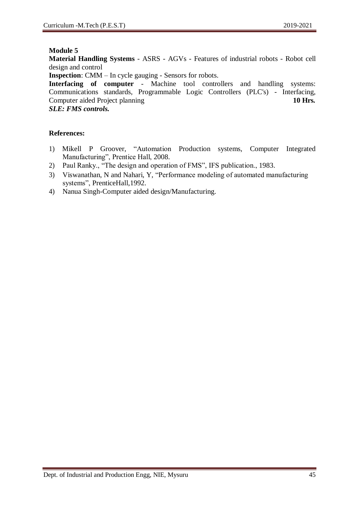**Material Handling Systems** - ASRS - AGVs - Features of industrial robots - Robot cell design and control

**Inspection**: CMM – In cycle gauging - Sensors for robots.

**Interfacing of computer** - Machine tool controllers and handling systems: Communications standards, Programmable Logic Controllers (PLC's) - Interfacing, Computer aided Project planning **10 Hrs. 10 Hrs.** 

*SLE: FMS controls.*

- 1) Mikell P Groover, "Automation Production systems, Computer Integrated Manufacturing", Prentice Hall, 2008.
- 2) Paul Ranky., "The design and operation of FMS", IFS publication., 1983.
- 3) Viswanathan, N and Nahari, Y, "Performance modeling of automated manufacturing systems", PrenticeHall,1992.
- 4) Nanua Singh-Computer aided design/Manufacturing.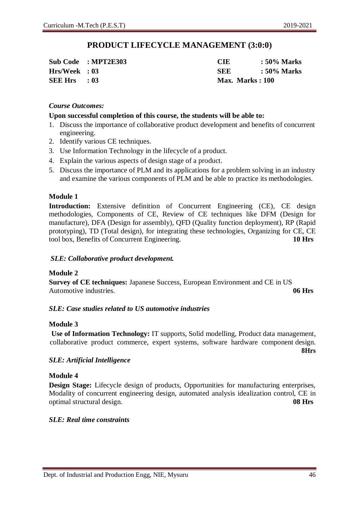### **PRODUCT LIFECYCLE MANAGEMENT (3:0:0)**

|                | Sub Code : MPT2E303 | CIE             | $\therefore$ 50% Marks |
|----------------|---------------------|-----------------|------------------------|
| Hrs/Week : 03  |                     | SEE             | : 50% Marks            |
| $SEE Hrs = 03$ |                     | Max. Marks: 100 |                        |

#### *Course Outcomes:*

#### **Upon successful completion of this course, the students will be able to:**

- 1. Discuss the importance of collaborative product development and benefits of concurrent engineering.
- 2. Identify various CE techniques.
- 3. Use Information Technology in the lifecycle of a product.
- 4. Explain the various aspects of design stage of a product.
- 5. Discuss the importance of PLM and its applications for a problem solving in an industry and examine the various components of PLM and be able to practice its methodologies.

#### **Module 1**

**Introduction:** Extensive definition of Concurrent Engineering (CE), CE design methodologies, Components of CE, Review of CE techniques like DFM (Design for manufacture), DFA (Design for assembly), QFD (Quality function deployment), RP (Rapid prototyping), TD (Total design), for integrating these technologies, Organizing for CE, CE tool box, Benefits of Concurrent Engineering. **10 Hrs**

#### *SLE: Collaborative product development.*

#### **Module 2**

**Survey of CE techniques:** Japanese Success, European Environment and CE in US Automotive industries. **06 Hrs**

#### *SLE: Case studies related to US automotive industries*

#### **Module 3**

**Use of Information Technology:** IT supports, Solid modelling, Product data management, collaborative product commerce, expert systems, software hardware component design.

**8Hrs**

#### *SLE: Artificial Intelligence*

#### **Module 4**

**Design Stage:** Lifecycle design of products, Opportunities for manufacturing enterprises, Modality of concurrent engineering design, automated analysis idealization control, CE in optimal structural design. **08 Hrs**

#### *SLE: Real time constraints*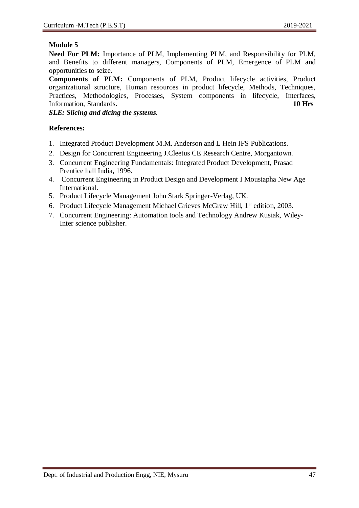**Need For PLM:** Importance of PLM, Implementing PLM, and Responsibility for PLM, and Benefits to different managers, Components of PLM, Emergence of PLM and opportunities to seize.

**Components of PLM:** Components of PLM, Product lifecycle activities, Product organizational structure, Human resources in product lifecycle, Methods, Techniques, Practices, Methodologies, Processes, System components in lifecycle, Interfaces, Information, Standards. **10 Hrs**

*SLE: Slicing and dicing the systems.*

- 1. Integrated Product Development M.M. Anderson and L Hein IFS Publications.
- 2. Design for Concurrent Engineering J.Cleetus CE Research Centre, Morgantown.
- 3. Concurrent Engineering Fundamentals: Integrated Product Development, Prasad Prentice hall India, 1996.
- 4. Concurrent Engineering in Product Design and Development I Moustapha New Age International.
- 5. Product Lifecycle Management John Stark Springer-Verlag, UK.
- 6. Product Lifecycle Management Michael Grieves McGraw Hill, 1<sup>st</sup> edition, 2003.
- 7. Concurrent Engineering: Automation tools and Technology Andrew Kusiak, Wiley-Inter science publisher.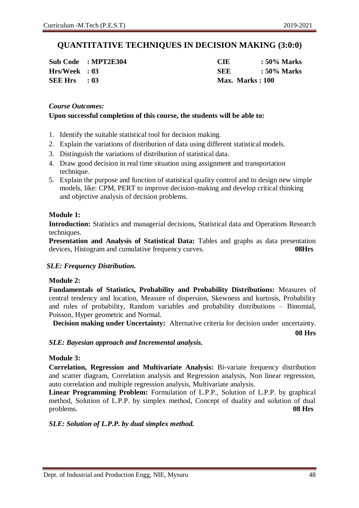### **QUANTITATIVE TECHNIQUES IN DECISION MAKING (3:0:0)**

|                | Sub Code : MPT2E304 |
|----------------|---------------------|
| Hrs/Week: 03   |                     |
| <b>SEE Hrs</b> | : 03                |

**Sub Code : MPT2E304 CIE : 50% Marks Hrs/Week : 03 SEE : 50% Marks SEE Hrs : 03 Max. Marks : 100**

#### *Course Outcomes:*

#### **Upon successful completion of this course, the students will be able to:**

- 1. Identify the suitable statistical tool for decision making.
- 2. Explain the variations of distribution of data using different statistical models.
- 3. Distinguish the variations of distribution of statistical data.
- 4. Draw good decision in real time situation using assignment and transportation technique.
- 5. Explain the purpose and function of statistical quality control and to design new simple models, like: CPM, PERT to improve decision-making and develop critical thinking and objective analysis of decision problems.

#### **Module 1:**

**Introduction:** Statistics and managerial decisions, Statistical data and Operations Research techniques.

**Presentation and Analysis of Statistical Data:** Tables and graphs as data presentation devices, Histogram and cumulative frequency curves. **08Hrs**

#### *SLE: Frequency Distribution.*

#### **Module 2:**

**Fundamentals of Statistics, Probability and Probability Distributions:** Measures of central tendency and location, Measure of dispersion, Skewness and kurtosis, Probability and rules of probability, Random variables and probability distributions – Binomial, Poisson, Hyper geometric and Normal.

**Decision making under Uncertainty:** Alternative criteria for decision under uncertainty.

**08 Hrs**

#### *SLE: Bayesian approach and Incremental analysis.*

#### **Module 3:**

**Correlation, Regression and Multivariate Analysis:** Bi-variate frequency distribution and scatter diagram, Correlation analysis and Regression analysis, Non linear regression, auto correlation and multiple regression analysis, Multivariate analysis.

**Linear Programming Problem:** Formulation of L.P.P., Solution of L.P.P. by graphical method, Solution of L.P.P. by simplex method, Concept of duality and solution of dual problems. **08 Hrs**

#### *SLE: Solution of L.P.P. by dual simplex method.*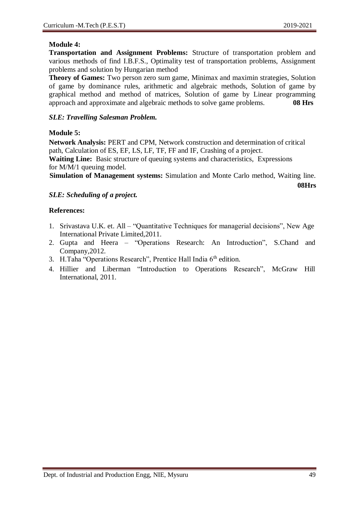#### **Module 4:**

**Transportation and Assignment Problems:** Structure of transportation problem and various methods of find I.B.F.S., Optimality test of transportation problems, Assignment problems and solution by Hungarian method

**Theory of Games:** Two person zero sum game, Minimax and maximin strategies, Solution of game by dominance rules, arithmetic and algebraic methods, Solution of game by graphical method and method of matrices, Solution of game by Linear programming approach and approximate and algebraic methods to solve game problems. **08 Hrs**

#### *SLE: Travelling Salesman Problem.*

#### **Module 5:**

**Network Analysis:** PERT and CPM, Network construction and determination of critical path, Calculation of ES, EF, LS, LF, TF, FF and IF, Crashing of a project.

**Waiting Line:** Basic structure of queuing systems and characteristics, Expressions for M/M/1 queuing model.

**Simulation of Management systems:** Simulation and Monte Carlo method, Waiting line.

**08Hrs**

#### *SLE: Scheduling of a project.*

- 1. Srivastava U.K. et. All "Quantitative Techniques for managerial decisions", New Age International Private Limited,2011.
- 2. Gupta and Heera "Operations Research: An Introduction", S.Chand and Company,2012.
- 3. H.Taha "Operations Research", Prentice Hall India 6<sup>th</sup> edition.
- 4. Hillier and Liberman "Introduction to Operations Research", McGraw Hill International, 2011.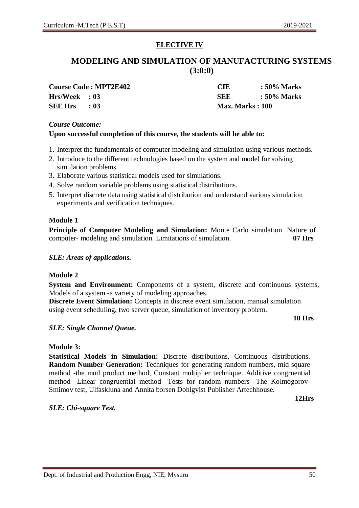### **ELECTIVE IV**

### **MODELING AND SIMULATION OF MANUFACTURING SYSTEMS (3:0:0)**

**Course Code : MPT2E402 CIE : 50% Marks SEE Hrs : 03 Max. Marks : 100**

**Hrs/Week : 03 SEE : 50% Marks**

#### *Course Outcome:*

#### **Upon successful completion of this course, the students will be able to:**

- 1. Interpret the fundamentals of computer modeling and simulation using various methods.
- 2. Introduce to the different technologies based on the system and model for solving simulation problems.
- 3. Elaborate various statistical models used for simulations.
- 4. Solve random variable problems using statistical distributions.
- 5. Interpret discrete data using statistical distribution and understand various simulation experiments and verification techniques.

#### **Module 1**

**Principle of Computer Modeling and Simulation:** Monte Carlo simulation. Nature of computer- modeling and simulation. Limitations of simulation. **07 Hrs**

#### *SLE: Areas of applications.*

#### **Module 2**

**System and Environment:** Components of a system, discrete and continuous systems, Models of a system -a variety of modeling approaches.

**Discrete Event Simulation:** Concepts in discrete event simulation, manual simulation using event scheduling, two server queue, simulation of inventory problem.

#### **10 Hrs**

#### *SLE: Single Channel Queue.*

#### **Module 3:**

**Statistical Models in Simulation:** Discrete distributions, Continuous distributions. **Random Number Generation:** Techniques for generating random numbers, mid square method -the mod product method, Constant multiplier technique. Additive congruential method -Linear congruential method -Tests for random numbers -The Kolmogorov-Smimov test, Ulfaskluna and Annita borsen Dohlgvist Publisher Artechhouse.

**12Hrs**

*SLE: Chi-square Test.*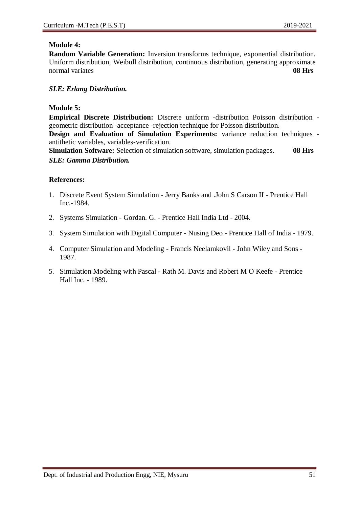#### **Module 4:**

**Random Variable Generation:** Inversion transforms technique, exponential distribution. Uniform distribution, Weibull distribution, continuous distribution, generating approximate normal variates **08 Hrs** 

#### *SLE: Erlang Distribution.*

#### **Module 5:**

**Empirical Discrete Distribution:** Discrete uniform -distribution Poisson distribution geometric distribution -acceptance -rejection technique for Poisson distribution.

**Design and Evaluation of Simulation Experiments:** variance reduction techniques antithetic variables, variables-verification.

**Simulation Software:** Selection of simulation software, simulation packages. **08 Hrs** *SLE: Gamma Distribution.*

- 1. Discrete Event System Simulation Jerry Banks and .John S Carson II Prentice Hall Inc.-1984.
- 2. Systems Simulation Gordan. G. Prentice Hall India Ltd 2004.
- 3. System Simulation with Digital Computer Nusing Deo Prentice Hall of India 1979.
- 4. Computer Simulation and Modeling Francis Neelamkovil John Wiley and Sons 1987.
- 5. Simulation Modeling with Pascal Rath M. Davis and Robert M O Keefe Prentice Hall Inc. - 1989.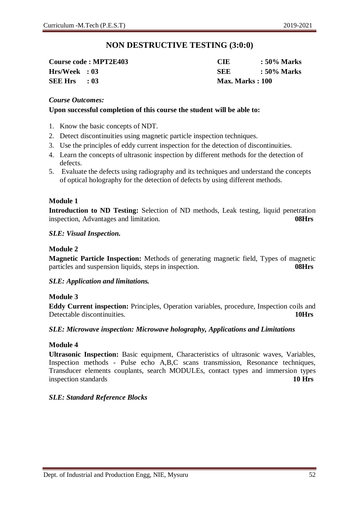### **NON DESTRUCTIVE TESTING (3:0:0)**

**SEE Hrs : 03 Max. Marks : 100**

**Course code : MPT2E403 CIE : 50% Marks Hrs/Week : 03 SEE : 50% Marks**

#### *Course Outcomes:*

#### **Upon successful completion of this course the student will be able to:**

- 1. Know the basic concepts of NDT.
- 2. Detect discontinuities using magnetic particle inspection techniques.
- 3. Use the principles of eddy current inspection for the detection of discontinuities.
- 4. Learn the concepts of ultrasonic inspection by different methods for the detection of defects.
- 5. Evaluate the defects using radiography and its techniques and understand the concepts of optical holography for the detection of defects by using different methods.

#### **Module 1**

**Introduction to ND Testing:** Selection of ND methods, Leak testing, liquid penetration inspection, Advantages and limitation. **08Hrs**

#### *SLE: Visual Inspection.*

#### **Module 2**

**Magnetic Particle Inspection:** Methods of generating magnetic field, Types of magnetic particles and suspension liquids, steps in inspection. **08Hrs**

#### *SLE: Application and limitations.*

#### **Module 3**

**Eddy Current inspection:** Principles, Operation variables, procedure, Inspection coils and Detectable discontinuities. **10Hrs**

#### *SLE: Microwave inspection: Microwave holography, Applications and Limitations*

#### **Module 4**

**Ultrasonic Inspection:** Basic equipment, Characteristics of ultrasonic waves, Variables, Inspection methods - Pulse echo A,B,C scans transmission, Resonance techniques, Transducer elements couplants, search MODULEs, contact types and immersion types inspection standards **10 Hrs**

#### *SLE: Standard Reference Blocks*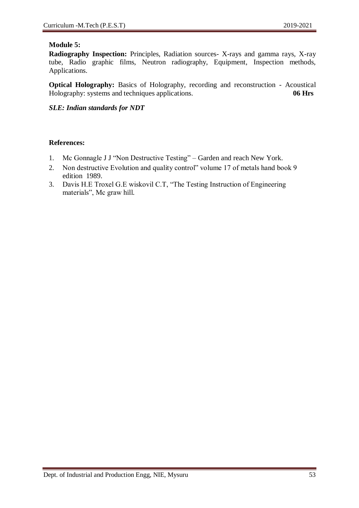#### **Module 5:**

**Radiography Inspection:** Principles, Radiation sources- X-rays and gamma rays, X-ray tube, Radio graphic films, Neutron radiography, Equipment, Inspection methods, Applications.

**Optical Holography:** Basics of Holography, recording and reconstruction - Acoustical Holography: systems and techniques applications. **06 Hrs**

*SLE: Indian standards for NDT*

- 1. Mc Gonnagle J J "Non Destructive Testing" Garden and reach New York.
- 2. Non destructive Evolution and quality control" volume 17 of metals hand book 9 edition 1989.
- 3. Davis H.E Troxel G.E wiskovil C.T, "The Testing Instruction of Engineering materials", Mc graw hill.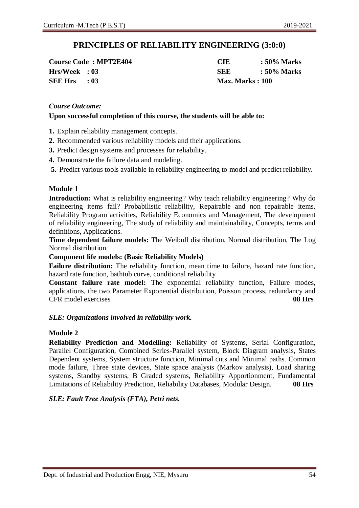### **PRINCIPLES OF RELIABILITY ENGINEERING (3:0:0)**

**Course Code : MPT2E404 CIE : 50% Marks SEE Hrs : 03 Max. Marks : 100**

**Hrs/Week : 03 SEE : 50% Marks**

#### *Course Outcome:*

#### **Upon successful completion of this course, the students will be able to:**

- **1.** Explain reliability management concepts.
- **2.** Recommended various reliability models and their applications.
- **3.** Predict design systems and processes for reliability.
- **4.** Demonstrate the failure data and modeling.
- **5.** Predict various tools available in reliability engineering to model and predict reliability.

#### **Module 1**

**Introduction:** What is reliability engineering? Why teach reliability engineering? Why do engineering items fail? Probabilistic reliability, Repairable and non repairable items, Reliability Program activities, Reliability Economics and Management, The development of reliability engineering, The study of reliability and maintainability, Concepts, terms and definitions, Applications.

**Time dependent failure models:** The Weibull distribution, Normal distribution, The Log Normal distribution.

#### **Component life models: (Basic Reliability Models)**

**Failure distribution:** The reliability function, mean time to failure, hazard rate function, hazard rate function, bathtub curve, conditional reliability

**Constant failure rate model:** The exponential reliability function, Failure modes, applications, the two Parameter Exponential distribution, Poisson process, redundancy and CFR model exercises **08 Hrs**

#### *SLE: Organizations involved in reliability work.*

#### **Module 2**

**Reliability Prediction and Modelling:** Reliability of Systems, Serial Configuration, Parallel Configuration, Combined Series-Parallel system, Block Diagram analysis, States Dependent systems, System structure function, Minimal cuts and Minimal paths. Common mode failure, Three state devices, State space analysis (Markov analysis), Load sharing systems, Standby systems, B Graded systems, Reliability Apportionment, Fundamental Limitations of Reliability Prediction, Reliability Databases, Modular Design. **08 Hrs**

#### *SLE: Fault Tree Analysis (FTA), Petri nets.*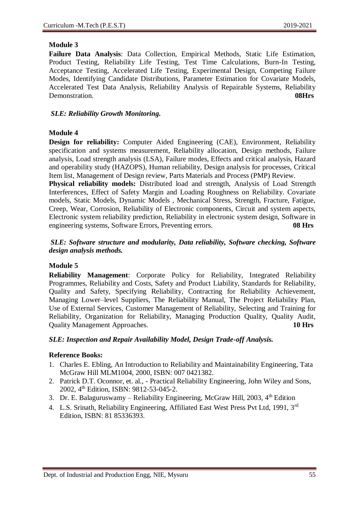**Failure Data Analysis**: Data Collection, Empirical Methods, Static Life Estimation, Product Testing, Reliability Life Testing, Test Time Calculations, Burn-In Testing, Acceptance Testing, Accelerated Life Testing, Experimental Design, Competing Failure Modes, Identifying Candidate Distributions, Parameter Estimation for Covariate Models, Accelerated Test Data Analysis, Reliability Analysis of Repairable Systems, Reliability Demonstration. **08Hrs**

#### *SLE: Reliability Growth Monitoring.*

#### **Module 4**

**Design for reliability:** Computer Aided Engineering (CAE), Environment, Reliability specification and systems measurement, Reliability allocation, Design methods, Failure analysis, Load strength analysis (LSA), Failure modes, Effects and critical analysis, Hazard and operability study (HAZOPS), Human reliability, Design analysis for processes, Critical Item list, Management of Design review, Parts Materials and Process (PMP) Review.

**Physical reliability models:** Distributed load and strength, Analysis of Load Strength Interferences, Effect of Safety Margin and Loading Roughness on Reliability. Covariate models, Static Models, Dynamic Models , Mechanical Stress, Strength, Fracture, Fatigue, Creep, Wear, Corrosion, Reliability of Electronic components, Circuit and system aspects, Electronic system reliability prediction, Reliability in electronic system design, Software in engineering systems, Software Errors, Preventing errors. **08 Hrs**

#### *SLE: Software structure and modularity, Data reliability, Software checking, Software design analysis methods.*

### **Module 5**

**Reliability Management**: Corporate Policy for Reliability, Integrated Reliability Programmes, Reliability and Costs, Safety and Product Liability, Standards for Reliability, Quality and Safety, Specifying Reliability, Contracting for Reliability Achievement, Managing Lower–level Suppliers, The Reliability Manual, The Project Reliability Plan, Use of External Services, Customer Management of Reliability, Selecting and Training for Reliability, Organization for Reliability, Managing Production Quality, Quality Audit, Quality Management Approaches. **10 Hrs**

#### *SLE: Inspection and Repair Availability Model, Design Trade-off Analysis.*

#### **Reference Books:**

- 1. Charles E. Ebling, An Introduction to Reliability and Maintainability Engineering, Tata McGraw Hill MLM1004, 2000, ISBN: 007 0421382.
- 2. Patrick D.T. Oconnor, et. al., Practical Reliability Engineering, John Wiley and Sons, 2002, 4<sup>th</sup> Edition, ISBN: 9812-53-045-2.
- 3. Dr. E. Balaguruswamy Reliability Engineering, McGraw Hill, 2003,  $4<sup>th</sup>$  Edition
- 4. L.S. Srinath, Reliability Engineering, Affiliated East West Press Pvt Ltd, 1991, 3<sup>rd</sup> Edition, ISBN: 81 85336393.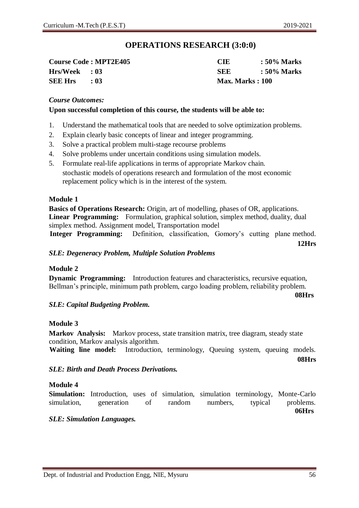### **OPERATIONS RESEARCH (3:0:0)**

| <b>Course Code: MPT2E405</b> |      |
|------------------------------|------|
| $Hrs/Week$ : 03              |      |
| <b>SEE Hrs</b>               | : 03 |

**Course Code : MPT2E405 CIE : 50% Marks Hrs/Week : 03 SEE : 50% Marks SEE Hrs : 03 Max. Marks : 100**

#### *Course Outcomes:*

#### **Upon successful completion of this course, the students will be able to:**

- 1. Understand the mathematical tools that are needed to solve optimization problems.
- 2. Explain clearly basic concepts of linear and integer programming.
- 3. Solve a practical problem multi-stage recourse problems
- 4. Solve problems under uncertain conditions using simulation models.
- 5. Formulate real-life applications in terms of appropriate Markov chain. stochastic models of operations research and formulation of the most economic replacement policy which is in the interest of the system.

#### **Module 1**

**Basics of Operations Research:** Origin, art of modelling, phases of OR, applications. **Linear Programming:** Formulation, graphical solution, simplex method, duality, dual simplex method. Assignment model, Transportation model **Integer Programming:** Definition, classification, Gomory's cutting plane method.

**12Hrs**

#### *SLE: Degeneracy Problem, Multiple Solution Problems*

#### **Module 2**

**Dynamic Programming:** Introduction features and characteristics, recursive equation, Bellman's principle, minimum path problem, cargo loading problem, reliability problem.

**08Hrs**

#### *SLE: Capital Budgeting Problem.*

#### **Module 3**

**Markov Analysis:** Markov process, state transition matrix, tree diagram, steady state condition, Markov analysis algorithm.

Waiting line model: Introduction, terminology, Queuing system, queuing models.

**08Hrs**

#### *SLE: Birth and Death Process Derivations.*

#### **Module 4**

**Simulation:** Introduction, uses of simulation, simulation terminology, Monte-Carlo simulation, generation of random numbers, typical problems. **06Hrs**

#### *SLE: Simulation Languages.*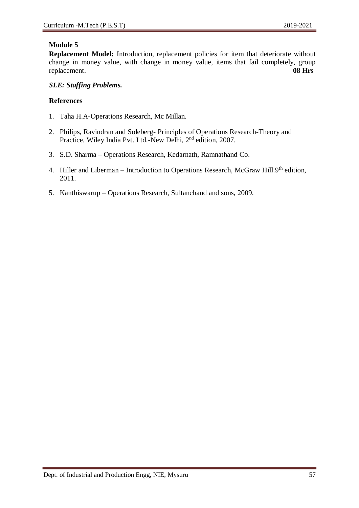**Replacement Model:** Introduction, replacement policies for item that deteriorate without change in money value, with change in money value, items that fail completely, group replacement. **08 Hrs**

#### *SLE: Staffing Problems.*

- 1. Taha H.A-Operations Research, Mc Millan.
- 2. Philips, Ravindran and Soleberg- Principles of Operations Research-Theory and Practice, Wiley India Pvt. Ltd.-New Delhi, 2<sup>nd</sup> edition, 2007.
- 3. S.D. Sharma Operations Research, Kedarnath, Ramnathand Co.
- 4. Hiller and Liberman Introduction to Operations Research, McGraw Hill.9<sup>th</sup> edition, 2011.
- 5. Kanthiswarup Operations Research, Sultanchand and sons, 2009.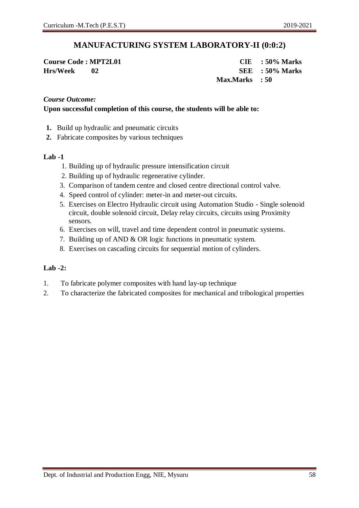### **MANUFACTURING SYSTEM LABORATORY-II (0:0:2)**

**Course Code : MPT2L01 CIE : 50% Marks Hrs/Week 02 SEE : 50% Marks Max.Marks : 50**

#### *Course Outcome:*

#### **Upon successful completion of this course, the students will be able to:**

- **1.** Build up hydraulic and pneumatic circuits
- **2.** Fabricate composites by various techniques

#### **Lab -1**

- 1. Building up of hydraulic pressure intensification circuit
- 2. Building up of hydraulic regenerative cylinder.
- 3. Comparison of tandem centre and closed centre directional control valve.
- 4. Speed control of cylinder: meter-in and meter-out circuits.
- 5. Exercises on Electro Hydraulic circuit using Automation Studio Single solenoid circuit, double solenoid circuit, Delay relay circuits, circuits using Proximity sensors.
- 6. Exercises on will, travel and time dependent control in pneumatic systems.
- 7. Building up of AND & OR logic functions in pneumatic system.
- 8. Exercises on cascading circuits for sequential motion of cylinders.

#### **Lab -2:**

- 1. To fabricate polymer composites with hand lay-up technique
- 2. To characterize the fabricated composites for mechanical and tribological properties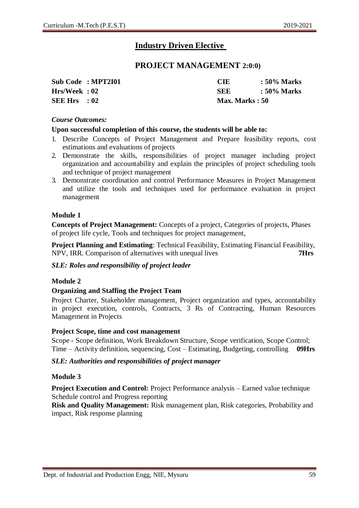### **Industry Driven Elective**

#### **PROJECT MANAGEMENT 2:0:0)**

|               | Sub Code: MPT2I01 | <b>CIE</b>     | : 50% Marks |
|---------------|-------------------|----------------|-------------|
| Hrs/Week : 02 |                   | SEE            | : 50% Marks |
| SEE Hrs $:02$ |                   | Max. Marks: 50 |             |

#### *Course Outcomes:*

#### **Upon successful completion of this course, the students will be able to:**

- 1. Describe Concepts of Project Management and Prepare feasibility reports, cost estimations and evaluations of projects
- 2. Demonstrate the skills, responsibilities of project manager including project organization and accountability and explain the principles of project scheduling tools and technique of project management
- 3. Demonstrate coordination and control Performance Measures in Project Management and utilize the tools and techniques used for performance evaluation in project management

#### **Module 1**

**Concepts of Project Management:** Concepts of a project, Categories of projects, Phases of project life cycle, Tools and techniques for project management,

**Project Planning and Estimating**: Technical Feasibility, Estimating Financial Feasibility, NPV, IRR. Comparison of alternatives with unequal lives **7Hrs**

#### *SLE: Roles and responsibility of project leader*

#### **Module 2**

#### **Organizing and Staffing the Project Team**

Project Charter, Stakeholder management, Project organization and types, accountability in project execution, controls, Contracts, 3 Rs of Contracting, Human Resources Management in Projects

#### **Project Scope, time and cost management**

Scope - Scope definition, Work Breakdown Structure, Scope verification, Scope Control; Time – Activity definition, sequencing, Cost – Estimating, Budgeting, controlling **09Hrs**

#### *SLE: Authorities and responsibilities of project manager*

#### **Module 3**

**Project Execution and Control:** Project Performance analysis – Earned value technique Schedule control and Progress reporting

**Risk and Quality Management:** Risk management plan, Risk categories, Probability and impact, Risk response planning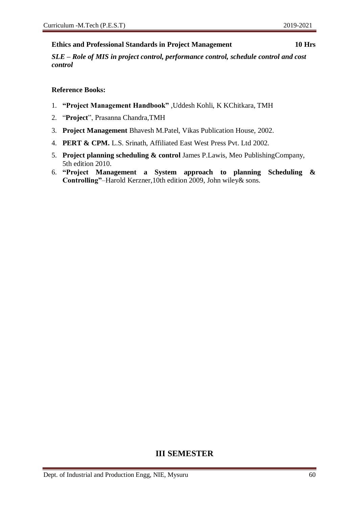#### **Ethics and Professional Standards in Project Management 10 Hrs**

*SLE – Role of MIS in project control, performance control, schedule control and cost control*

#### **Reference Books:**

- 1. **"Project Management Handbook"** ,Uddesh Kohli, K KChitkara, TMH
- 2. "**Project**", Prasanna Chandra,TMH
- 3. **Project Management** Bhavesh M.Patel, Vikas Publication House, 2002.
- 4. **PERT & CPM.** L.S. Srinath, Affiliated East West Press Pvt. Ltd 2002.
- 5. **Project planning scheduling & control** James P.Lawis, Meo PublishingCompany, 5th edition 2010.
- 6. **"Project Management a System approach to planning Scheduling & Controlling"**–Harold Kerzner,10th edition 2009, John wiley& sons.

### **III SEMESTER**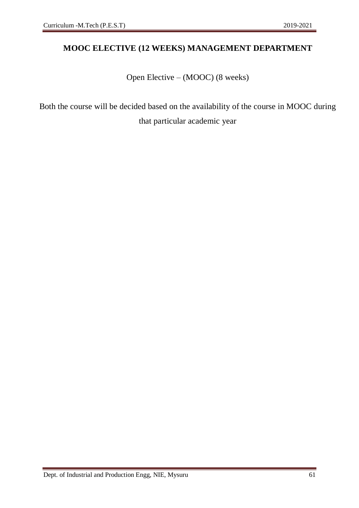### **MOOC ELECTIVE (12 WEEKS) MANAGEMENT DEPARTMENT**

Open Elective – (MOOC) (8 weeks)

Both the course will be decided based on the availability of the course in MOOC during that particular academic year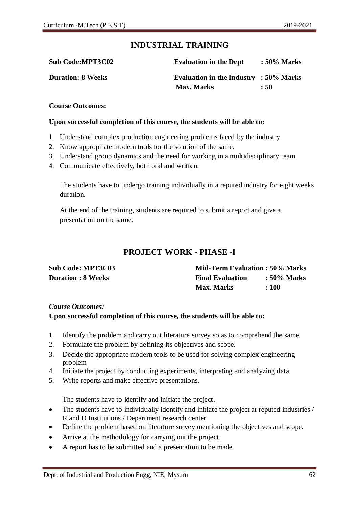### **INDUSTRIAL TRAINING**

| <b>Sub Code:MPT3C02</b>  | <b>Evaluation in the Dept</b>             | $:50\%$ Marks |
|--------------------------|-------------------------------------------|---------------|
| <b>Duration: 8 Weeks</b> | Evaluation in the Industry : $50\%$ Marks |               |
|                          | <b>Max. Marks</b>                         | : 50          |

#### **Course Outcomes:**

#### **Upon successful completion of this course, the students will be able to:**

- 1. Understand complex production engineering problems faced by the industry
- 2. Know appropriate modern tools for the solution of the same.
- 3. Understand group dynamics and the need for working in a multidisciplinary team.
- 4. Communicate effectively, both oral and written.

The students have to undergo training individually in a reputed industry for eight weeks duration.

At the end of the training, students are required to submit a report and give a presentation on the same.

### **PROJECT WORK - PHASE -I**

| <b>Sub Code: MPT3C03</b>  | <b>Mid-Term Evaluation: 50% Marks</b> |                        |
|---------------------------|---------------------------------------|------------------------|
| <b>Duration : 8 Weeks</b> | <b>Final Evaluation</b>               | $\therefore$ 50% Marks |
|                           | <b>Max. Marks</b>                     | :100                   |

#### *Course Outcomes:*

#### **Upon successful completion of this course, the students will be able to:**

- 1. Identify the problem and carry out literature survey so as to comprehend the same.
- 2. Formulate the problem by defining its objectives and scope.
- 3. Decide the appropriate modern tools to be used for solving complex engineering problem
- 4. Initiate the project by conducting experiments, interpreting and analyzing data.
- 5. Write reports and make effective presentations.

The students have to identify and initiate the project.

- The students have to individually identify and initiate the project at reputed industries / R and D Institutions / Department research center.
- Define the problem based on literature survey mentioning the objectives and scope.
- Arrive at the methodology for carrying out the project.
- A report has to be submitted and a presentation to be made.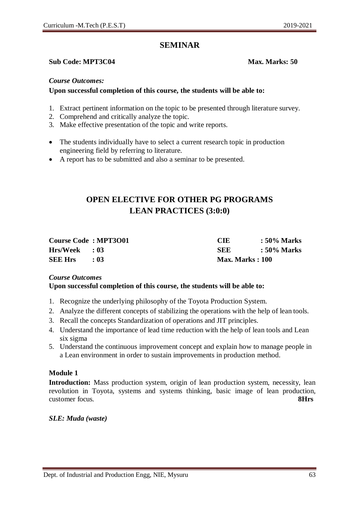### **SEMINAR**

#### **Sub Code: MPT3C04 Max. Marks: 50**

#### *Course Outcomes:*

#### **Upon successful completion of this course, the students will be able to:**

- 1. Extract pertinent information on the topic to be presented through literature survey.
- 2. Comprehend and critically analyze the topic.
- 3. Make effective presentation of the topic and write reports.
- The students individually have to select a current research topic in production engineering field by referring to literature.
- A report has to be submitted and also a seminar to be presented.

### **OPEN ELECTIVE FOR OTHER PG PROGRAMS LEAN PRACTICES (3:0:0)**

| <b>Course Code: MPT3001</b> |          | <b>CIE</b>             | : 50% Marks |
|-----------------------------|----------|------------------------|-------------|
| $Hrs/Week$ : 03             |          | <b>SEE</b>             | : 50% Marks |
| <b>SEE Hrs</b>              | $\pm 03$ | <b>Max. Marks: 100</b> |             |

### *Course Outcomes*

#### **Upon successful completion of this course, the students will be able to:**

- 1. Recognize the underlying philosophy of the Toyota Production System.
- 2. Analyze the different concepts of stabilizing the operations with the help of lean tools.
- 3. Recall the concepts Standardization of operations and JIT principles.
- 4. Understand the importance of lead time reduction with the help of lean tools and Lean six sigma
- 5. Understand the continuous improvement concept and explain how to manage people in a Lean environment in order to sustain improvements in production method.

#### **Module 1**

**Introduction:** Mass production system, origin of lean production system, necessity, lean revolution in Toyota, systems and systems thinking, basic image of lean production, customer focus. **8Hrs**

#### *SLE: Muda (waste)*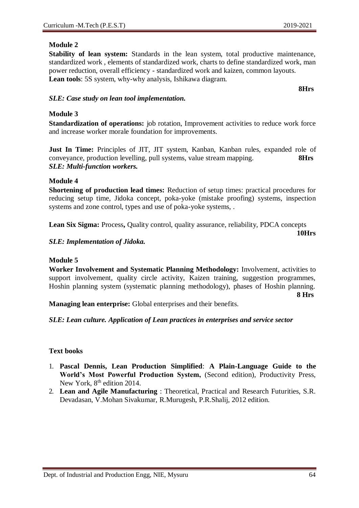**Stability of lean system:** Standards in the lean system, total productive maintenance, standardized work , elements of standardized work, charts to define standardized work, man power reduction, overall efficiency - standardized work and kaizen, common layouts. **Lean tools**: 5S system, why-why analysis, Ishikawa diagram.

**8Hrs**

#### *SLE: Case study on lean tool implementation.*

#### **Module 3**

**Standardization of operations:** job rotation, Improvement activities to reduce work force and increase worker morale foundation for improvements.

**Just In Time:** Principles of JIT, JIT system, Kanban, Kanban rules, expanded role of conveyance, production levelling, pull systems, value stream mapping. **8Hrs** *SLE: Multi-function workers.*

#### **Module 4**

**Shortening of production lead times:** Reduction of setup times: practical procedures for reducing setup time, Jidoka concept, poka-yoke (mistake proofing) systems, inspection systems and zone control, types and use of poka-yoke systems, .

**Lean Six Sigma:** Process**,** Quality control, quality assurance, reliability, PDCA concepts

**10Hrs**

*SLE: Implementation of Jidoka.*

#### **Module 5**

**Worker Involvement and Systematic Planning Methodology:** Involvement, activities to support involvement, quality circle activity, Kaizen training, suggestion programmes, Hoshin planning system (systematic planning methodology), phases of Hoshin planning. **8 Hrs**

**Managing lean enterprise:** Global enterprises and their benefits.

*SLE: Lean culture. Application of Lean practices in enterprises and service sector*

#### **Text books**

- 1. **Pascal Dennis, Lean Production Simplified**: **A Plain-Language Guide to the World's Most Powerful Production System,** (Second edition), Productivity Press, New York, 8<sup>th</sup> edition 2014.
- 2. **Lean and Agile Manufacturing** : Theoretical, Practical and Research Futurities, S.R. Devadasan, V.Mohan Sivakumar, R.Murugesh, P.R.Shalij, 2012 edition.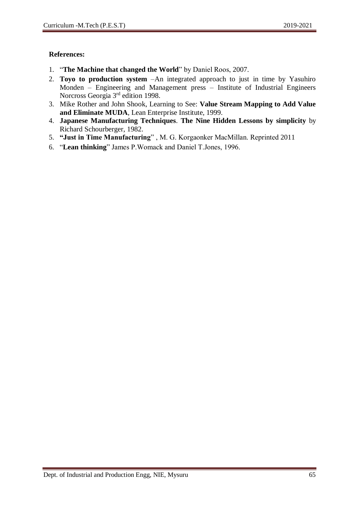- 1. "**The Machine that changed the World**" by Daniel Roos, 2007.
- 2. **Toyo to production system** –An integrated approach to just in time by Yasuhiro Monden – Engineering and Management press – Institute of Industrial Engineers Norcross Georgia 3rd edition 1998.
- 3. Mike Rother and John Shook, Learning to See: **Value Stream Mapping to Add Value and Eliminate MUDA**, Lean Enterprise Institute, 1999.
- 4. **Japanese Manufacturing Techniques**. **The Nine Hidden Lessons by simplicity** by Richard Schourberger, 1982.
- 5. **"Just in Time Manufacturing**" , M. G. Korgaonker MacMillan. Reprinted 2011
- 6. "**Lean thinking**" James P.Womack and Daniel T.Jones, 1996.